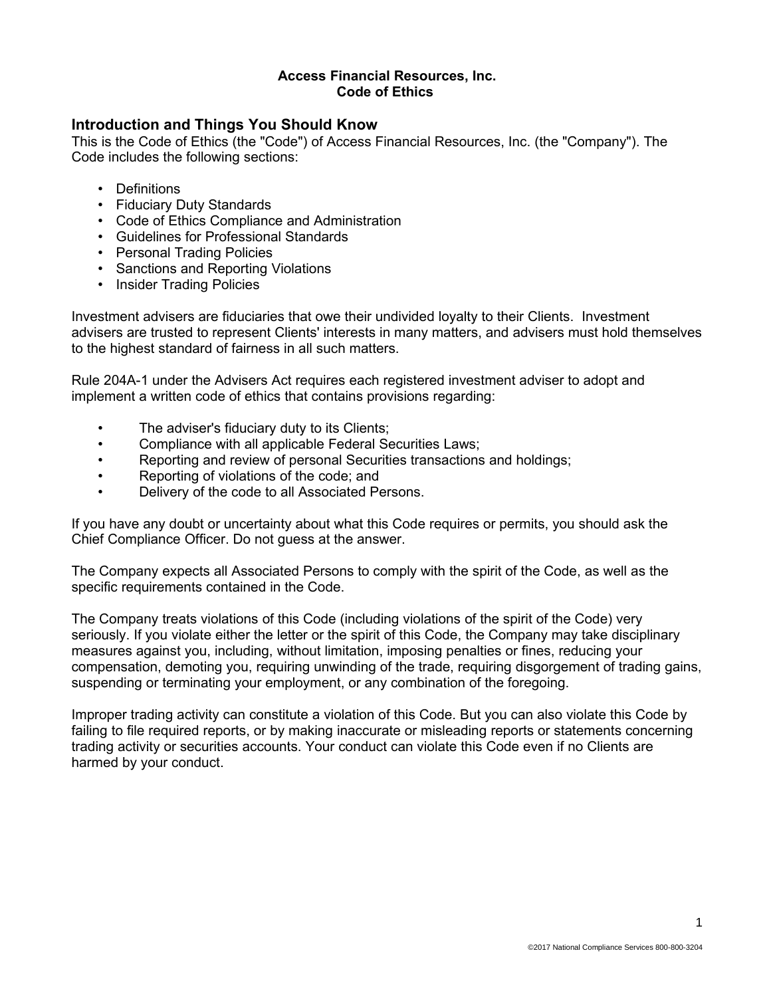#### **Access Financial Resources, Inc. Code of Ethics**

### **Introduction and Things You Should Know**

This is the Code of Ethics (the "Code") of Access Financial Resources, Inc. (the "Company"). The Code includes the following sections:

- Definitions
- Fiduciary Duty Standards
- Code of Ethics Compliance and Administration
- Guidelines for Professional Standards
- Personal Trading Policies
- Sanctions and Reporting Violations
- Insider Trading Policies

Investment advisers are fiduciaries that owe their undivided loyalty to their Clients. Investment advisers are trusted to represent Clients' interests in many matters, and advisers must hold themselves to the highest standard of fairness in all such matters.

Rule 204A-1 under the Advisers Act requires each registered investment adviser to adopt and implement a written code of ethics that contains provisions regarding:

- The adviser's fiduciary duty to its Clients;
- Compliance with all applicable Federal Securities Laws;
- Reporting and review of personal Securities transactions and holdings;
- Reporting of violations of the code; and
- Delivery of the code to all Associated Persons.

If you have any doubt or uncertainty about what this Code requires or permits, you should ask the Chief Compliance Officer. Do not guess at the answer.

The Company expects all Associated Persons to comply with the spirit of the Code, as well as the specific requirements contained in the Code.

The Company treats violations of this Code (including violations of the spirit of the Code) very seriously. If you violate either the letter or the spirit of this Code, the Company may take disciplinary measures against you, including, without limitation, imposing penalties or fines, reducing your compensation, demoting you, requiring unwinding of the trade, requiring disgorgement of trading gains, suspending or terminating your employment, or any combination of the foregoing.

Improper trading activity can constitute a violation of this Code. But you can also violate this Code by failing to file required reports, or by making inaccurate or misleading reports or statements concerning trading activity or securities accounts. Your conduct can violate this Code even if no Clients are harmed by your conduct.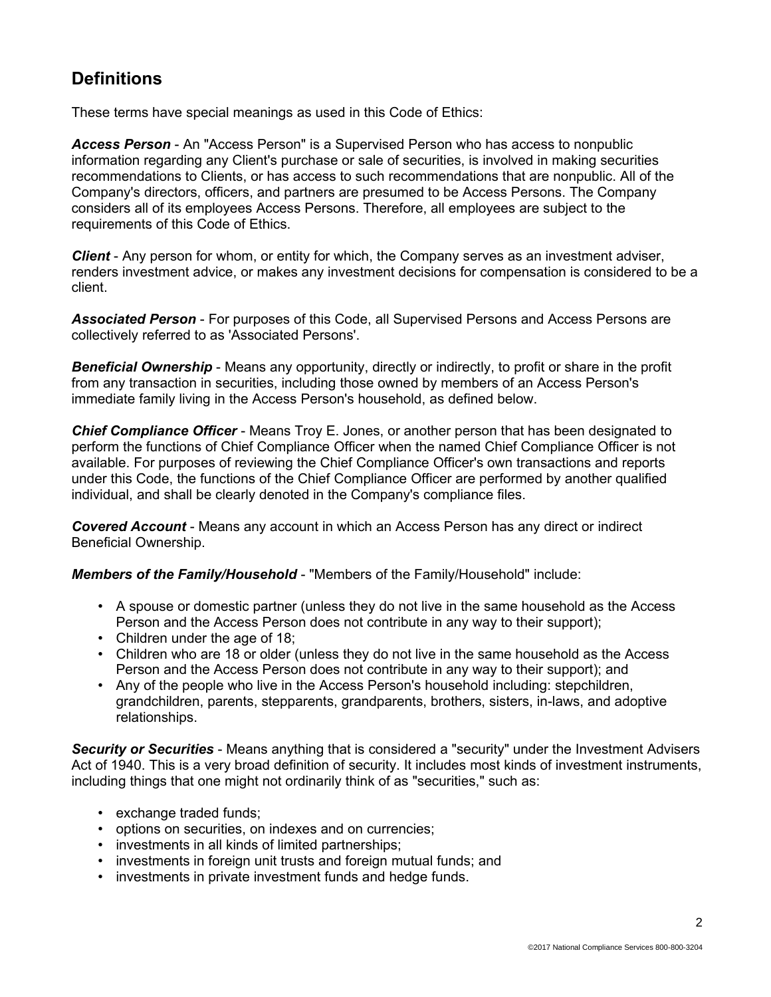## **Definitions**

These terms have special meanings as used in this Code of Ethics:

*Access Person* - An "Access Person" is a Supervised Person who has access to nonpublic information regarding any Client's purchase or sale of securities, is involved in making securities recommendations to Clients, or has access to such recommendations that are nonpublic. All of the Company's directors, officers, and partners are presumed to be Access Persons. The Company considers all of its employees Access Persons. Therefore, all employees are subject to the requirements of this Code of Ethics.

*Client* - Any person for whom, or entity for which, the Company serves as an investment adviser, renders investment advice, or makes any investment decisions for compensation is considered to be a client.

*Associated Person* - For purposes of this Code, all Supervised Persons and Access Persons are collectively referred to as 'Associated Persons'.

*Beneficial Ownership* - Means any opportunity, directly or indirectly, to profit or share in the profit from any transaction in securities, including those owned by members of an Access Person's immediate family living in the Access Person's household, as defined below.

*Chief Compliance Officer* - Means Troy E. Jones, or another person that has been designated to perform the functions of Chief Compliance Officer when the named Chief Compliance Officer is not available. For purposes of reviewing the Chief Compliance Officer's own transactions and reports under this Code, the functions of the Chief Compliance Officer are performed by another qualified individual, and shall be clearly denoted in the Company's compliance files.

*Covered Account* - Means any account in which an Access Person has any direct or indirect Beneficial Ownership.

*Members of the Family/Household* - "Members of the Family/Household" include:

- A spouse or domestic partner (unless they do not live in the same household as the Access Person and the Access Person does not contribute in any way to their support);
- Children under the age of 18:
- Children who are 18 or older (unless they do not live in the same household as the Access Person and the Access Person does not contribute in any way to their support); and
- Any of the people who live in the Access Person's household including: stepchildren, grandchildren, parents, stepparents, grandparents, brothers, sisters, in-laws, and adoptive relationships.

*Security or Securities* - Means anything that is considered a "security" under the Investment Advisers Act of 1940. This is a very broad definition of security. It includes most kinds of investment instruments, including things that one might not ordinarily think of as "securities," such as:

- exchange traded funds;
- options on securities, on indexes and on currencies;
- investments in all kinds of limited partnerships;
- investments in foreign unit trusts and foreign mutual funds; and
- investments in private investment funds and hedge funds.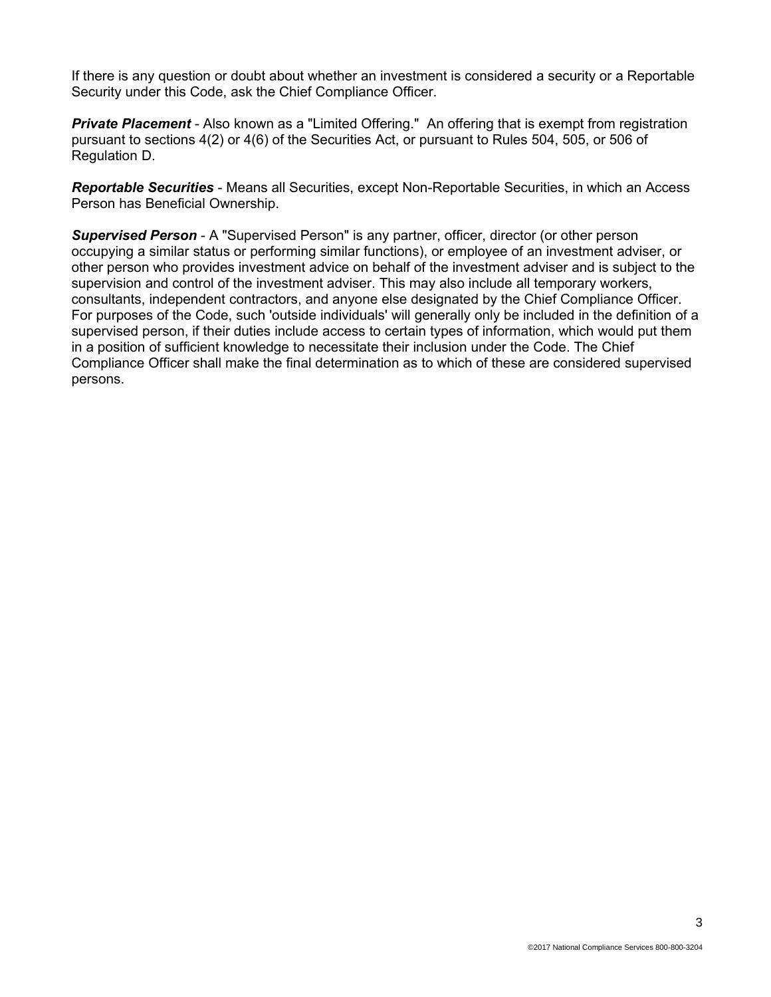If there is any question or doubt about whether an investment is considered a security or a Reportable Security under this Code, ask the Chief Compliance Officer.

*Private Placement* - Also known as a "Limited Offering." An offering that is exempt from registration pursuant to sections 4(2) or 4(6) of the Securities Act, or pursuant to Rules 504, 505, or 506 of Regulation D.

*Reportable Securities* - Means all Securities, except Non-Reportable Securities, in which an Access Person has Beneficial Ownership.

*Supervised Person* - A "Supervised Person" is any partner, officer, director (or other person occupying a similar status or performing similar functions), or employee of an investment adviser, or other person who provides investment advice on behalf of the investment adviser and is subject to the supervision and control of the investment adviser. This may also include all temporary workers, consultants, independent contractors, and anyone else designated by the Chief Compliance Officer. For purposes of the Code, such 'outside individuals' will generally only be included in the definition of a supervised person, if their duties include access to certain types of information, which would put them in a position of sufficient knowledge to necessitate their inclusion under the Code. The Chief Compliance Officer shall make the final determination as to which of these are considered supervised persons.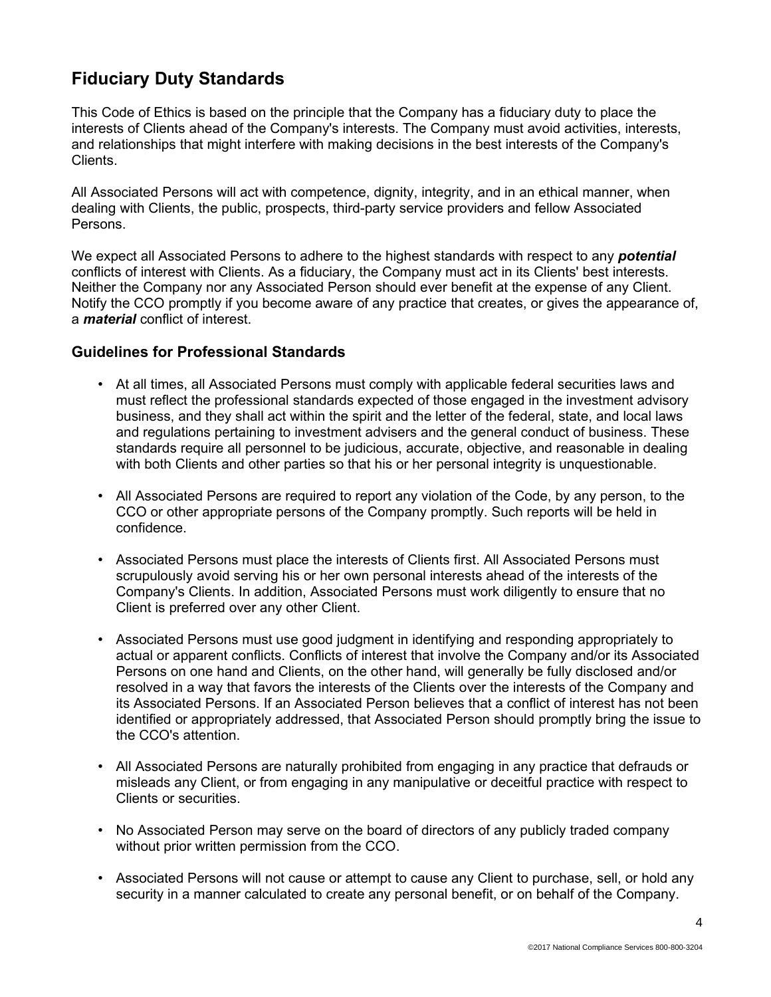## **Fiduciary Duty Standards**

This Code of Ethics is based on the principle that the Company has a fiduciary duty to place the interests of Clients ahead of the Company's interests. The Company must avoid activities, interests, and relationships that might interfere with making decisions in the best interests of the Company's Clients.

All Associated Persons will act with competence, dignity, integrity, and in an ethical manner, when dealing with Clients, the public, prospects, third-party service providers and fellow Associated Persons.

We expect all Associated Persons to adhere to the highest standards with respect to any *potential* conflicts of interest with Clients. As a fiduciary, the Company must act in its Clients' best interests. Neither the Company nor any Associated Person should ever benefit at the expense of any Client. Notify the CCO promptly if you become aware of any practice that creates, or gives the appearance of, a *material* conflict of interest.

### **Guidelines for Professional Standards**

- At all times, all Associated Persons must comply with applicable federal securities laws and must reflect the professional standards expected of those engaged in the investment advisory business, and they shall act within the spirit and the letter of the federal, state, and local laws and regulations pertaining to investment advisers and the general conduct of business. These standards require all personnel to be judicious, accurate, objective, and reasonable in dealing with both Clients and other parties so that his or her personal integrity is unquestionable.
- All Associated Persons are required to report any violation of the Code, by any person, to the CCO or other appropriate persons of the Company promptly. Such reports will be held in confidence.
- Associated Persons must place the interests of Clients first. All Associated Persons must scrupulously avoid serving his or her own personal interests ahead of the interests of the Company's Clients. In addition, Associated Persons must work diligently to ensure that no Client is preferred over any other Client.
- Associated Persons must use good judgment in identifying and responding appropriately to actual or apparent conflicts. Conflicts of interest that involve the Company and/or its Associated Persons on one hand and Clients, on the other hand, will generally be fully disclosed and/or resolved in a way that favors the interests of the Clients over the interests of the Company and its Associated Persons. If an Associated Person believes that a conflict of interest has not been identified or appropriately addressed, that Associated Person should promptly bring the issue to the CCO's attention.
- All Associated Persons are naturally prohibited from engaging in any practice that defrauds or misleads any Client, or from engaging in any manipulative or deceitful practice with respect to Clients or securities.
- No Associated Person may serve on the board of directors of any publicly traded company without prior written permission from the CCO.
- Associated Persons will not cause or attempt to cause any Client to purchase, sell, or hold any security in a manner calculated to create any personal benefit, or on behalf of the Company.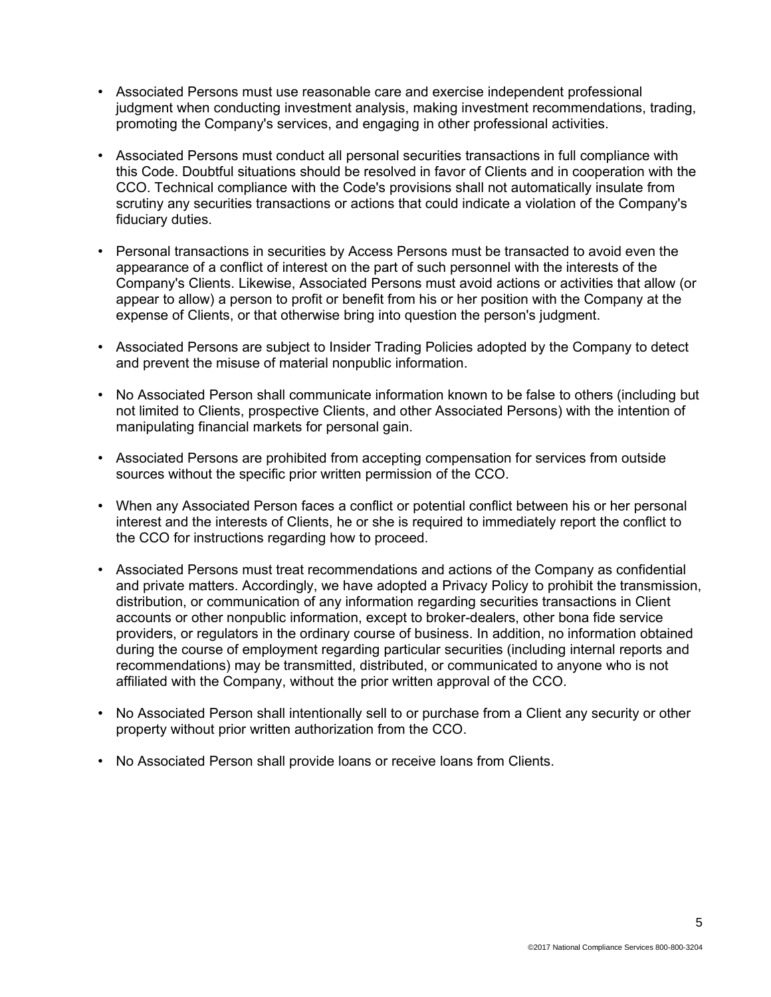- Associated Persons must use reasonable care and exercise independent professional judgment when conducting investment analysis, making investment recommendations, trading, promoting the Company's services, and engaging in other professional activities.
- Associated Persons must conduct all personal securities transactions in full compliance with this Code. Doubtful situations should be resolved in favor of Clients and in cooperation with the CCO. Technical compliance with the Code's provisions shall not automatically insulate from scrutiny any securities transactions or actions that could indicate a violation of the Company's fiduciary duties.
- Personal transactions in securities by Access Persons must be transacted to avoid even the appearance of a conflict of interest on the part of such personnel with the interests of the Company's Clients. Likewise, Associated Persons must avoid actions or activities that allow (or appear to allow) a person to profit or benefit from his or her position with the Company at the expense of Clients, or that otherwise bring into question the person's judgment.
- Associated Persons are subject to Insider Trading Policies adopted by the Company to detect and prevent the misuse of material nonpublic information.
- No Associated Person shall communicate information known to be false to others (including but not limited to Clients, prospective Clients, and other Associated Persons) with the intention of manipulating financial markets for personal gain.
- Associated Persons are prohibited from accepting compensation for services from outside sources without the specific prior written permission of the CCO.
- When any Associated Person faces a conflict or potential conflict between his or her personal interest and the interests of Clients, he or she is required to immediately report the conflict to the CCO for instructions regarding how to proceed.
- Associated Persons must treat recommendations and actions of the Company as confidential and private matters. Accordingly, we have adopted a Privacy Policy to prohibit the transmission, distribution, or communication of any information regarding securities transactions in Client accounts or other nonpublic information, except to broker-dealers, other bona fide service providers, or regulators in the ordinary course of business. In addition, no information obtained during the course of employment regarding particular securities (including internal reports and recommendations) may be transmitted, distributed, or communicated to anyone who is not affiliated with the Company, without the prior written approval of the CCO.
- No Associated Person shall intentionally sell to or purchase from a Client any security or other property without prior written authorization from the CCO.
- No Associated Person shall provide loans or receive loans from Clients*.*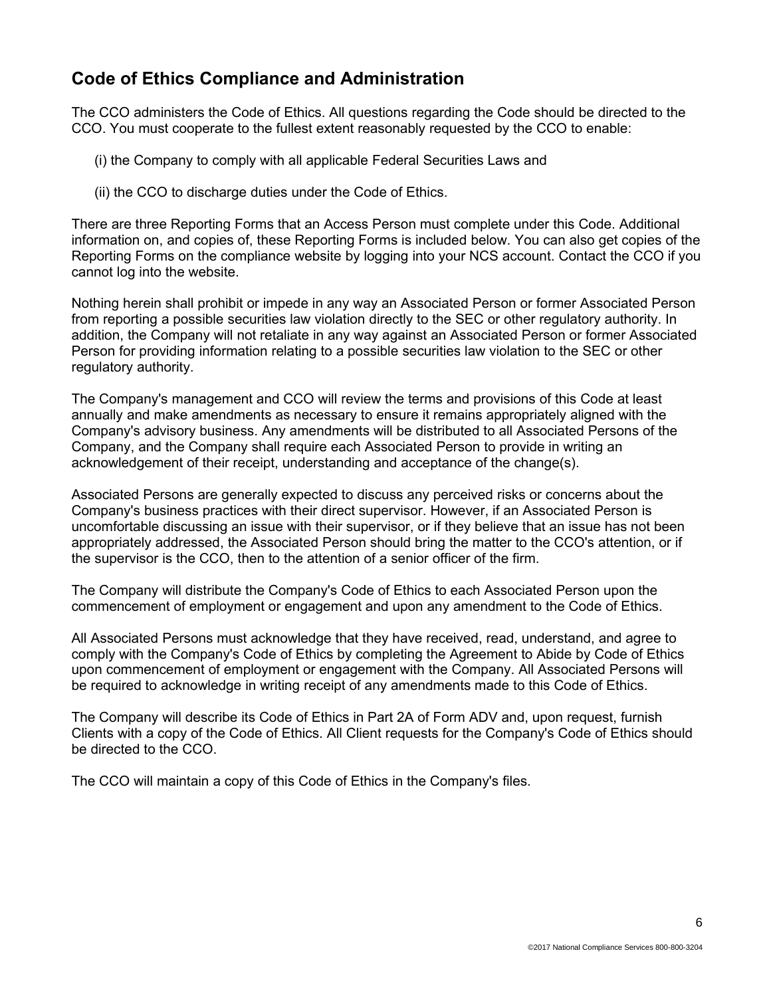## **Code of Ethics Compliance and Administration**

The CCO administers the Code of Ethics. All questions regarding the Code should be directed to the CCO. You must cooperate to the fullest extent reasonably requested by the CCO to enable:

- (i) the Company to comply with all applicable Federal Securities Laws and
- (ii) the CCO to discharge duties under the Code of Ethics.

There are three Reporting Forms that an Access Person must complete under this Code. Additional information on, and copies of, these Reporting Forms is included below. You can also get copies of the Reporting Forms on the compliance website by logging into your NCS account. Contact the CCO if you cannot log into the website.

Nothing herein shall prohibit or impede in any way an Associated Person or former Associated Person from reporting a possible securities law violation directly to the SEC or other regulatory authority. In addition, the Company will not retaliate in any way against an Associated Person or former Associated Person for providing information relating to a possible securities law violation to the SEC or other regulatory authority.

The Company's management and CCO will review the terms and provisions of this Code at least annually and make amendments as necessary to ensure it remains appropriately aligned with the Company's advisory business. Any amendments will be distributed to all Associated Persons of the Company, and the Company shall require each Associated Person to provide in writing an acknowledgement of their receipt, understanding and acceptance of the change(s).

Associated Persons are generally expected to discuss any perceived risks or concerns about the Company's business practices with their direct supervisor. However, if an Associated Person is uncomfortable discussing an issue with their supervisor, or if they believe that an issue has not been appropriately addressed, the Associated Person should bring the matter to the CCO's attention, or if the supervisor is the CCO, then to the attention of a senior officer of the firm.

The Company will distribute the Company's Code of Ethics to each Associated Person upon the commencement of employment or engagement and upon any amendment to the Code of Ethics.

All Associated Persons must acknowledge that they have received, read, understand, and agree to comply with the Company's Code of Ethics by completing the Agreement to Abide by Code of Ethics upon commencement of employment or engagement with the Company. All Associated Persons will be required to acknowledge in writing receipt of any amendments made to this Code of Ethics.

The Company will describe its Code of Ethics in Part 2A of Form ADV and, upon request, furnish Clients with a copy of the Code of Ethics. All Client requests for the Company's Code of Ethics should be directed to the CCO.

The CCO will maintain a copy of this Code of Ethics in the Company's files.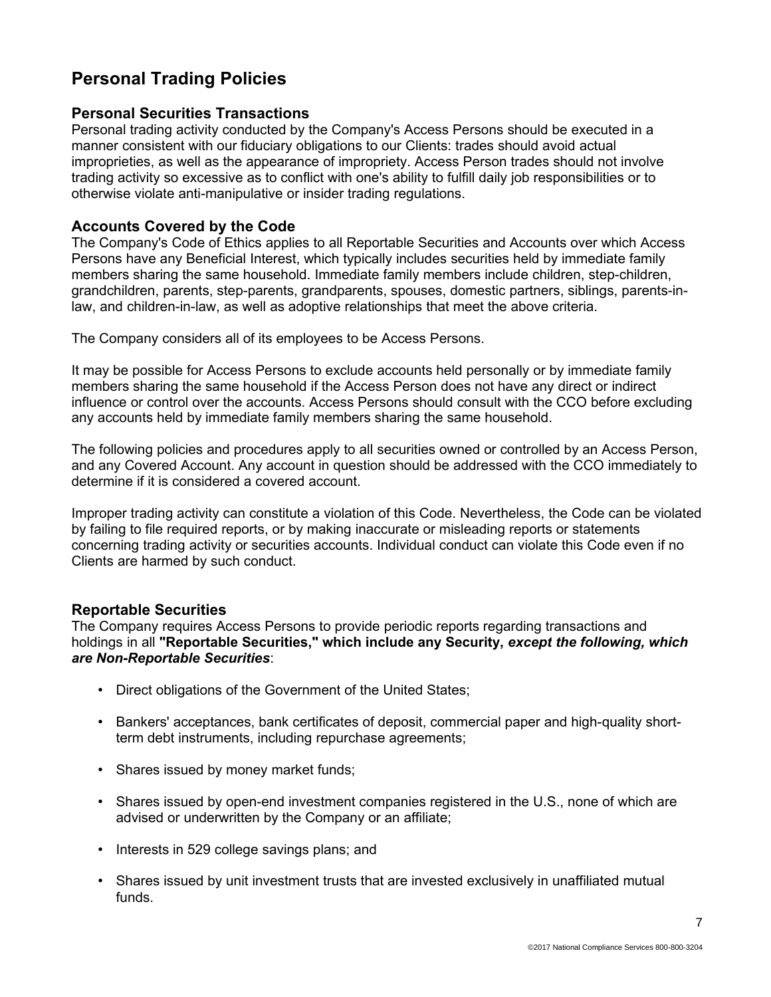## **Personal Trading Policies**

### **Personal Securities Transactions**

Personal trading activity conducted by the Company's Access Persons should be executed in a manner consistent with our fiduciary obligations to our Clients: trades should avoid actual improprieties, as well as the appearance of impropriety. Access Person trades should not involve trading activity so excessive as to conflict with one's ability to fulfill daily job responsibilities or to otherwise violate anti-manipulative or insider trading regulations.

### **Accounts Covered by the Code**

The Company's Code of Ethics applies to all Reportable Securities and Accounts over which Access Persons have any Beneficial Interest, which typically includes securities held by immediate family members sharing the same household. Immediate family members include children, step-children, grandchildren, parents, step-parents, grandparents, spouses, domestic partners, siblings, parents-inlaw, and children-in-law, as well as adoptive relationships that meet the above criteria.

The Company considers all of its employees to be Access Persons.

It may be possible for Access Persons to exclude accounts held personally or by immediate family members sharing the same household if the Access Person does not have any direct or indirect influence or control over the accounts. Access Persons should consult with the CCO before excluding any accounts held by immediate family members sharing the same household.

The following policies and procedures apply to all securities owned or controlled by an Access Person, and any Covered Account. Any account in question should be addressed with the CCO immediately to determine if it is considered a covered account.

Improper trading activity can constitute a violation of this Code. Nevertheless, the Code can be violated by failing to file required reports, or by making inaccurate or misleading reports or statements concerning trading activity or securities accounts. Individual conduct can violate this Code even if no Clients are harmed by such conduct.

## **Reportable Securities**

The Company requires Access Persons to provide periodic reports regarding transactions and holdings in all **"Reportable Securities," which include any Security,** *except the following, which are Non-Reportable Securities*:

- Direct obligations of the Government of the United States;
- Bankers' acceptances, bank certificates of deposit, commercial paper and high-quality shortterm debt instruments, including repurchase agreements;
- Shares issued by money market funds;
- Shares issued by open-end investment companies registered in the U.S., none of which are advised or underwritten by the Company or an affiliate;
- Interests in 529 college savings plans; and
- Shares issued by unit investment trusts that are invested exclusively in unaffiliated mutual funds.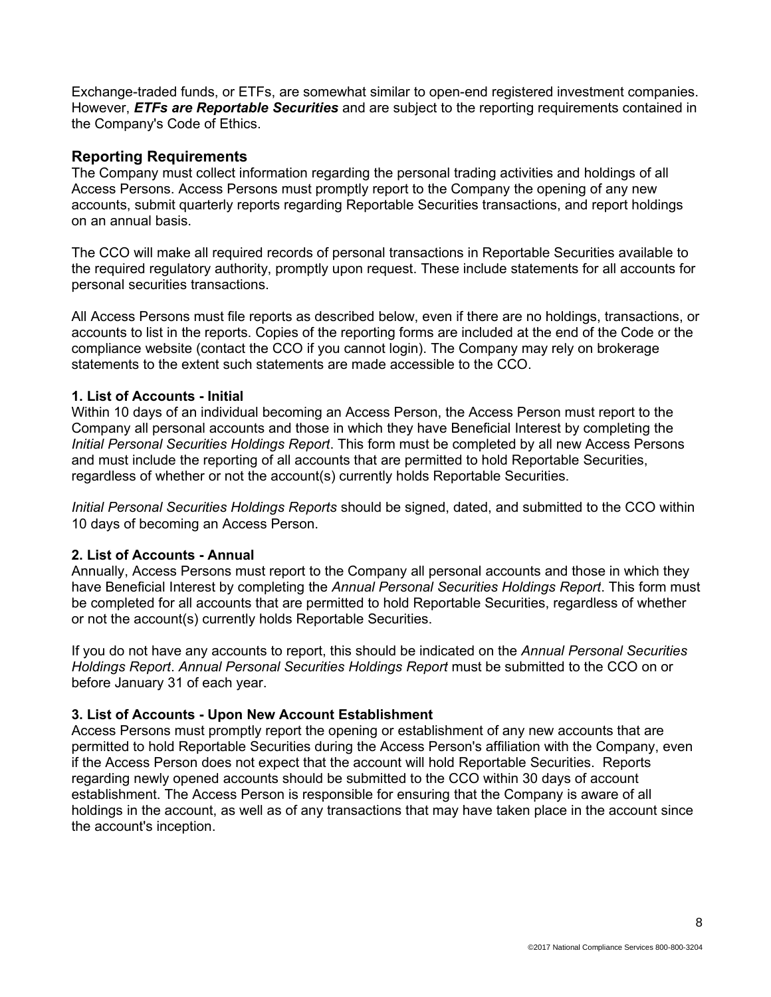Exchange-traded funds, or ETFs, are somewhat similar to open-end registered investment companies. However, *ETFs are Reportable Securities* and are subject to the reporting requirements contained in the Company's Code of Ethics.

### **Reporting Requirements**

The Company must collect information regarding the personal trading activities and holdings of all Access Persons. Access Persons must promptly report to the Company the opening of any new accounts, submit quarterly reports regarding Reportable Securities transactions, and report holdings on an annual basis.

The CCO will make all required records of personal transactions in Reportable Securities available to the required regulatory authority, promptly upon request. These include statements for all accounts for personal securities transactions.

All Access Persons must file reports as described below, even if there are no holdings, transactions, or accounts to list in the reports. Copies of the reporting forms are included at the end of the Code or the compliance website (contact the CCO if you cannot login). The Company may rely on brokerage statements to the extent such statements are made accessible to the CCO.

#### **1. List of Accounts - Initial**

Within 10 days of an individual becoming an Access Person, the Access Person must report to the Company all personal accounts and those in which they have Beneficial Interest by completing the *Initial Personal Securities Holdings Report*. This form must be completed by all new Access Persons and must include the reporting of all accounts that are permitted to hold Reportable Securities, regardless of whether or not the account(s) currently holds Reportable Securities.

*Initial Personal Securities Holdings Reports* should be signed, dated, and submitted to the CCO within 10 days of becoming an Access Person.

#### **2. List of Accounts - Annual**

Annually, Access Persons must report to the Company all personal accounts and those in which they have Beneficial Interest by completing the *Annual Personal Securities Holdings Report*. This form must be completed for all accounts that are permitted to hold Reportable Securities, regardless of whether or not the account(s) currently holds Reportable Securities.

If you do not have any accounts to report, this should be indicated on the *Annual Personal Securities Holdings Report*. *Annual Personal Securities Holdings Report* must be submitted to the CCO on or before January 31 of each year.

#### **3. List of Accounts - Upon New Account Establishment**

Access Persons must promptly report the opening or establishment of any new accounts that are permitted to hold Reportable Securities during the Access Person's affiliation with the Company, even if the Access Person does not expect that the account will hold Reportable Securities. Reports regarding newly opened accounts should be submitted to the CCO within 30 days of account establishment. The Access Person is responsible for ensuring that the Company is aware of all holdings in the account, as well as of any transactions that may have taken place in the account since the account's inception.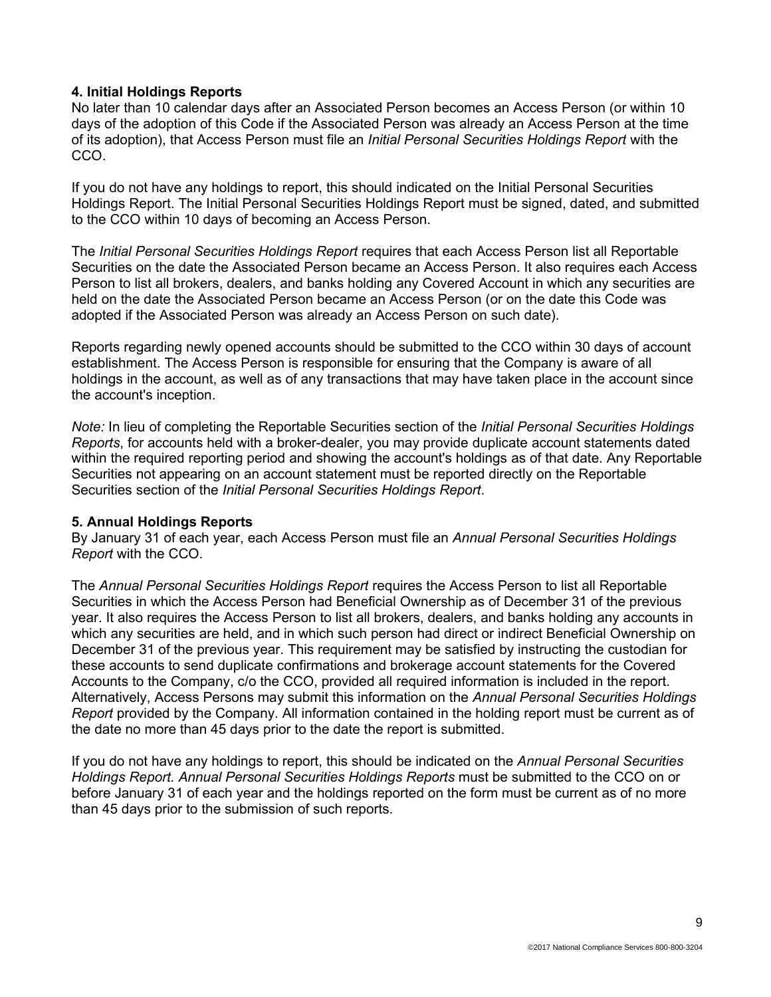#### **4. Initial Holdings Reports**

No later than 10 calendar days after an Associated Person becomes an Access Person (or within 10 days of the adoption of this Code if the Associated Person was already an Access Person at the time of its adoption), that Access Person must file an *Initial Personal Securities Holdings Report* with the CCO.

If you do not have any holdings to report, this should indicated on the Initial Personal Securities Holdings Report. The Initial Personal Securities Holdings Report must be signed, dated, and submitted to the CCO within 10 days of becoming an Access Person.

The *Initial Personal Securities Holdings Report* requires that each Access Person list all Reportable Securities on the date the Associated Person became an Access Person. It also requires each Access Person to list all brokers, dealers, and banks holding any Covered Account in which any securities are held on the date the Associated Person became an Access Person (or on the date this Code was adopted if the Associated Person was already an Access Person on such date).

Reports regarding newly opened accounts should be submitted to the CCO within 30 days of account establishment. The Access Person is responsible for ensuring that the Company is aware of all holdings in the account, as well as of any transactions that may have taken place in the account since the account's inception.

*Note:* In lieu of completing the Reportable Securities section of the *Initial Personal Securities Holdings Reports*, for accounts held with a broker-dealer, you may provide duplicate account statements dated within the required reporting period and showing the account's holdings as of that date. Any Reportable Securities not appearing on an account statement must be reported directly on the Reportable Securities section of the *Initial Personal Securities Holdings Report*.

#### **5. Annual Holdings Reports**

By January 31 of each year, each Access Person must file an *Annual Personal Securities Holdings Report* with the CCO.

The *Annual Personal Securities Holdings Report* requires the Access Person to list all Reportable Securities in which the Access Person had Beneficial Ownership as of December 31 of the previous year. It also requires the Access Person to list all brokers, dealers, and banks holding any accounts in which any securities are held, and in which such person had direct or indirect Beneficial Ownership on December 31 of the previous year. This requirement may be satisfied by instructing the custodian for these accounts to send duplicate confirmations and brokerage account statements for the Covered Accounts to the Company, c/o the CCO, provided all required information is included in the report. Alternatively, Access Persons may submit this information on the *Annual Personal Securities Holdings Report* provided by the Company. All information contained in the holding report must be current as of the date no more than 45 days prior to the date the report is submitted.

If you do not have any holdings to report, this should be indicated on the *Annual Personal Securities Holdings Report. Annual Personal Securities Holdings Reports* must be submitted to the CCO on or before January 31 of each year and the holdings reported on the form must be current as of no more than 45 days prior to the submission of such reports.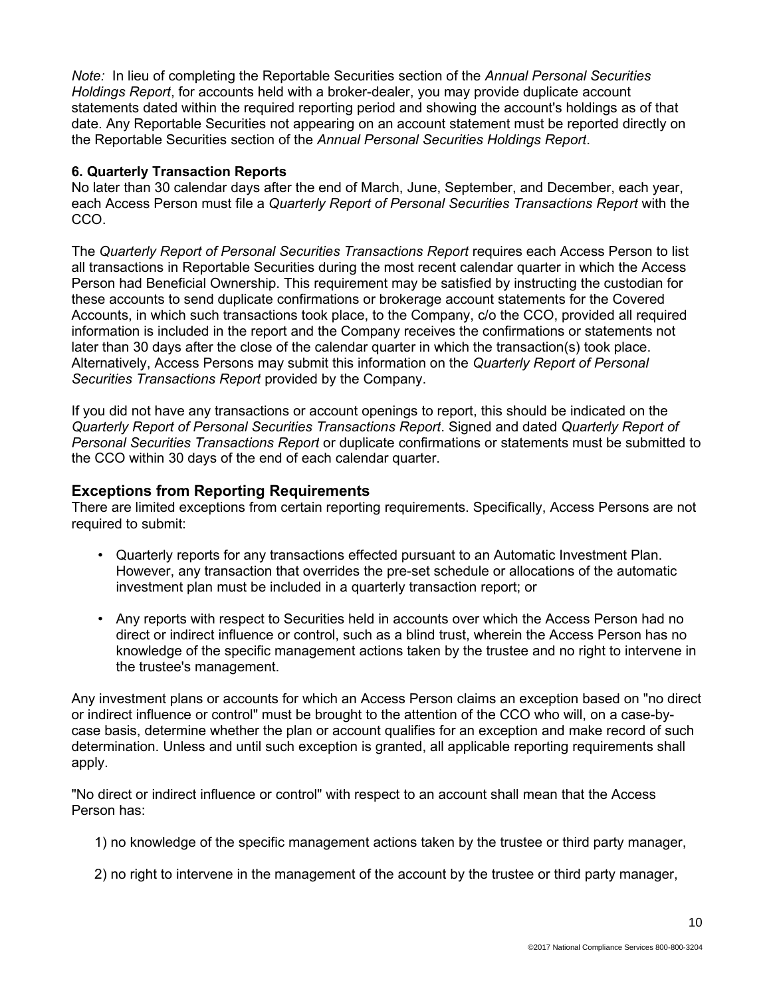*Note:* In lieu of completing the Reportable Securities section of the *Annual Personal Securities Holdings Report*, for accounts held with a broker-dealer, you may provide duplicate account statements dated within the required reporting period and showing the account's holdings as of that date. Any Reportable Securities not appearing on an account statement must be reported directly on the Reportable Securities section of the *Annual Personal Securities Holdings Report*.

### **6. Quarterly Transaction Reports**

No later than 30 calendar days after the end of March, June, September, and December, each year, each Access Person must file a *Quarterly Report of Personal Securities Transactions Report* with the CCO.

The *Quarterly Report of Personal Securities Transactions Report* requires each Access Person to list all transactions in Reportable Securities during the most recent calendar quarter in which the Access Person had Beneficial Ownership. This requirement may be satisfied by instructing the custodian for these accounts to send duplicate confirmations or brokerage account statements for the Covered Accounts, in which such transactions took place, to the Company, c/o the CCO, provided all required information is included in the report and the Company receives the confirmations or statements not later than 30 days after the close of the calendar quarter in which the transaction(s) took place. Alternatively, Access Persons may submit this information on the *Quarterly Report of Personal Securities Transactions Report* provided by the Company.

If you did not have any transactions or account openings to report, this should be indicated on the *Quarterly Report of Personal Securities Transactions Report*. Signed and dated *Quarterly Report of Personal Securities Transactions Report* or duplicate confirmations or statements must be submitted to the CCO within 30 days of the end of each calendar quarter.

## **Exceptions from Reporting Requirements**

There are limited exceptions from certain reporting requirements. Specifically, Access Persons are not required to submit:

- Quarterly reports for any transactions effected pursuant to an Automatic Investment Plan. However, any transaction that overrides the pre-set schedule or allocations of the automatic investment plan must be included in a quarterly transaction report; or
- Any reports with respect to Securities held in accounts over which the Access Person had no direct or indirect influence or control, such as a blind trust, wherein the Access Person has no knowledge of the specific management actions taken by the trustee and no right to intervene in the trustee's management.

Any investment plans or accounts for which an Access Person claims an exception based on "no direct or indirect influence or control" must be brought to the attention of the CCO who will, on a case-bycase basis, determine whether the plan or account qualifies for an exception and make record of such determination. Unless and until such exception is granted, all applicable reporting requirements shall apply.

"No direct or indirect influence or control" with respect to an account shall mean that the Access Person has:

1) no knowledge of the specific management actions taken by the trustee or third party manager,

2) no right to intervene in the management of the account by the trustee or third party manager,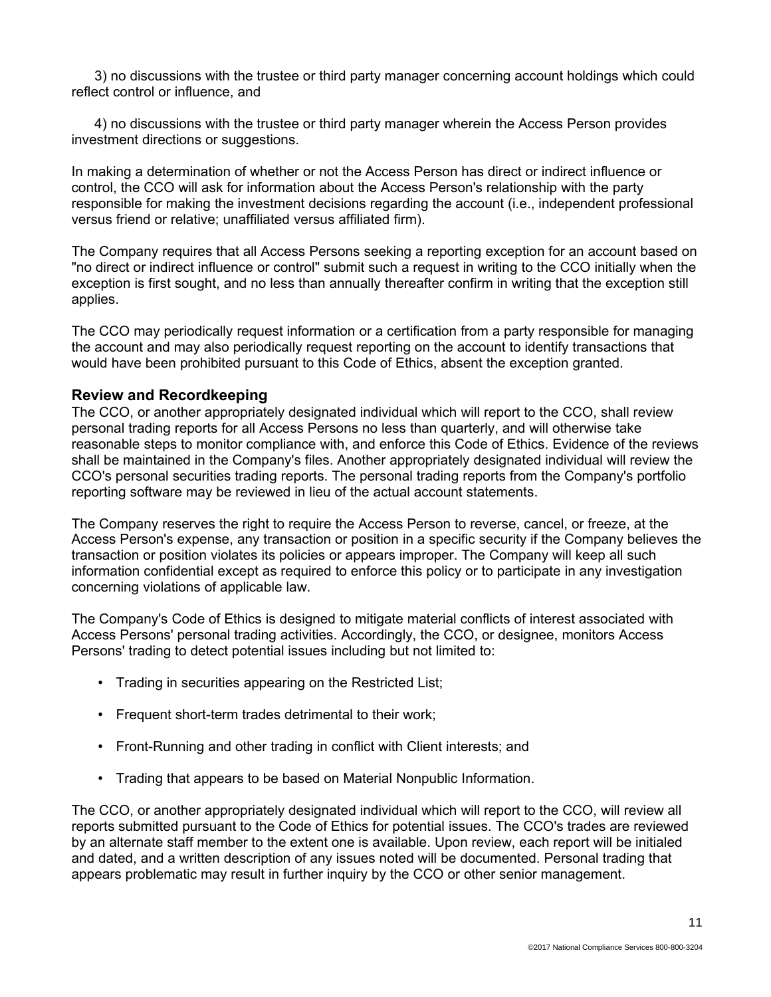3) no discussions with the trustee or third party manager concerning account holdings which could reflect control or influence, and

4) no discussions with the trustee or third party manager wherein the Access Person provides investment directions or suggestions.

In making a determination of whether or not the Access Person has direct or indirect influence or control, the CCO will ask for information about the Access Person's relationship with the party responsible for making the investment decisions regarding the account (i.e., independent professional versus friend or relative; unaffiliated versus affiliated firm).

The Company requires that all Access Persons seeking a reporting exception for an account based on "no direct or indirect influence or control" submit such a request in writing to the CCO initially when the exception is first sought, and no less than annually thereafter confirm in writing that the exception still applies.

The CCO may periodically request information or a certification from a party responsible for managing the account and may also periodically request reporting on the account to identify transactions that would have been prohibited pursuant to this Code of Ethics, absent the exception granted.

#### **Review and Recordkeeping**

The CCO, or another appropriately designated individual which will report to the CCO, shall review personal trading reports for all Access Persons no less than quarterly, and will otherwise take reasonable steps to monitor compliance with, and enforce this Code of Ethics. Evidence of the reviews shall be maintained in the Company's files. Another appropriately designated individual will review the CCO's personal securities trading reports. The personal trading reports from the Company's portfolio reporting software may be reviewed in lieu of the actual account statements.

The Company reserves the right to require the Access Person to reverse, cancel, or freeze, at the Access Person's expense, any transaction or position in a specific security if the Company believes the transaction or position violates its policies or appears improper. The Company will keep all such information confidential except as required to enforce this policy or to participate in any investigation concerning violations of applicable law.

The Company's Code of Ethics is designed to mitigate material conflicts of interest associated with Access Persons' personal trading activities. Accordingly, the CCO, or designee, monitors Access Persons' trading to detect potential issues including but not limited to:

- Trading in securities appearing on the Restricted List;
- Frequent short-term trades detrimental to their work:
- Front-Running and other trading in conflict with Client interests; and
- Trading that appears to be based on Material Nonpublic Information.

The CCO, or another appropriately designated individual which will report to the CCO, will review all reports submitted pursuant to the Code of Ethics for potential issues. The CCO's trades are reviewed by an alternate staff member to the extent one is available. Upon review, each report will be initialed and dated, and a written description of any issues noted will be documented. Personal trading that appears problematic may result in further inquiry by the CCO or other senior management.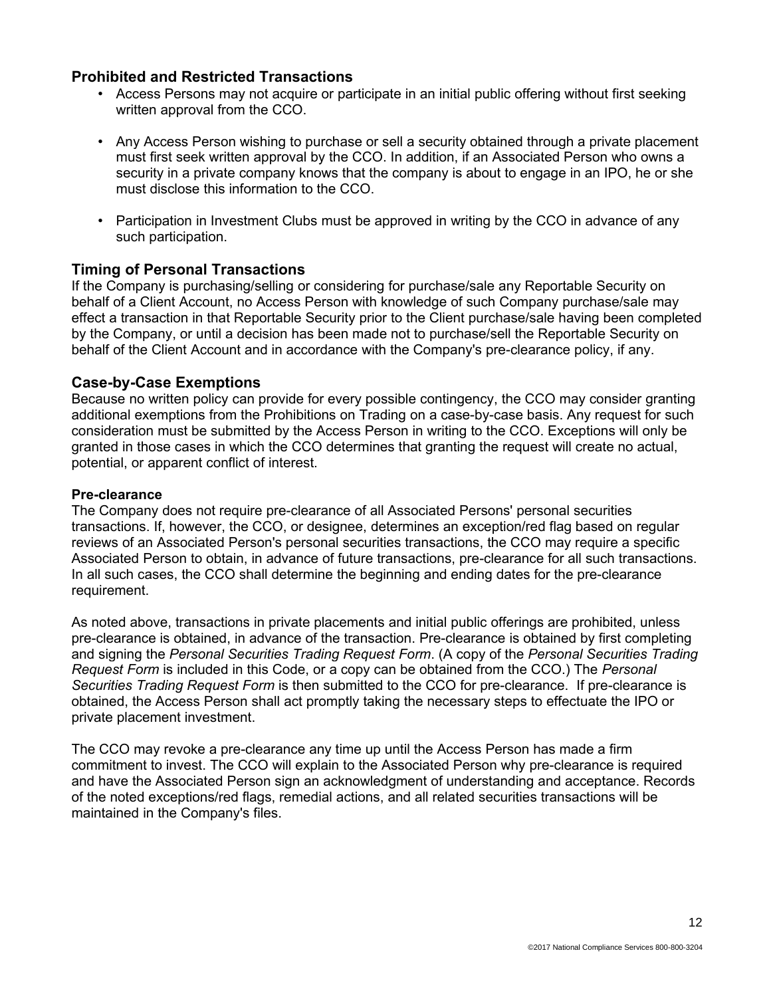### **Prohibited and Restricted Transactions**

- Access Persons may not acquire or participate in an initial public offering without first seeking written approval from the CCO.
- Any Access Person wishing to purchase or sell a security obtained through a private placement must first seek written approval by the CCO. In addition, if an Associated Person who owns a security in a private company knows that the company is about to engage in an IPO, he or she must disclose this information to the CCO.
- Participation in Investment Clubs must be approved in writing by the CCO in advance of any such participation.

### **Timing of Personal Transactions**

If the Company is purchasing/selling or considering for purchase/sale any Reportable Security on behalf of a Client Account, no Access Person with knowledge of such Company purchase/sale may effect a transaction in that Reportable Security prior to the Client purchase/sale having been completed by the Company, or until a decision has been made not to purchase/sell the Reportable Security on behalf of the Client Account and in accordance with the Company's pre-clearance policy, if any.

#### **Case-by-Case Exemptions**

Because no written policy can provide for every possible contingency, the CCO may consider granting additional exemptions from the Prohibitions on Trading on a case-by-case basis. Any request for such consideration must be submitted by the Access Person in writing to the CCO. Exceptions will only be granted in those cases in which the CCO determines that granting the request will create no actual, potential, or apparent conflict of interest.

#### **Pre-clearance**

The Company does not require pre-clearance of all Associated Persons' personal securities transactions. If, however, the CCO, or designee, determines an exception/red flag based on regular reviews of an Associated Person's personal securities transactions, the CCO may require a specific Associated Person to obtain, in advance of future transactions, pre-clearance for all such transactions. In all such cases, the CCO shall determine the beginning and ending dates for the pre-clearance requirement.

As noted above, transactions in private placements and initial public offerings are prohibited, unless pre-clearance is obtained, in advance of the transaction. Pre-clearance is obtained by first completing and signing the *Personal Securities Trading Request Form*. (A copy of the *Personal Securities Trading Request Form* is included in this Code, or a copy can be obtained from the CCO.) The *Personal Securities Trading Request Form* is then submitted to the CCO for pre-clearance. If pre-clearance is obtained, the Access Person shall act promptly taking the necessary steps to effectuate the IPO or private placement investment.

The CCO may revoke a pre-clearance any time up until the Access Person has made a firm commitment to invest. The CCO will explain to the Associated Person why pre-clearance is required and have the Associated Person sign an acknowledgment of understanding and acceptance. Records of the noted exceptions/red flags, remedial actions, and all related securities transactions will be maintained in the Company's files.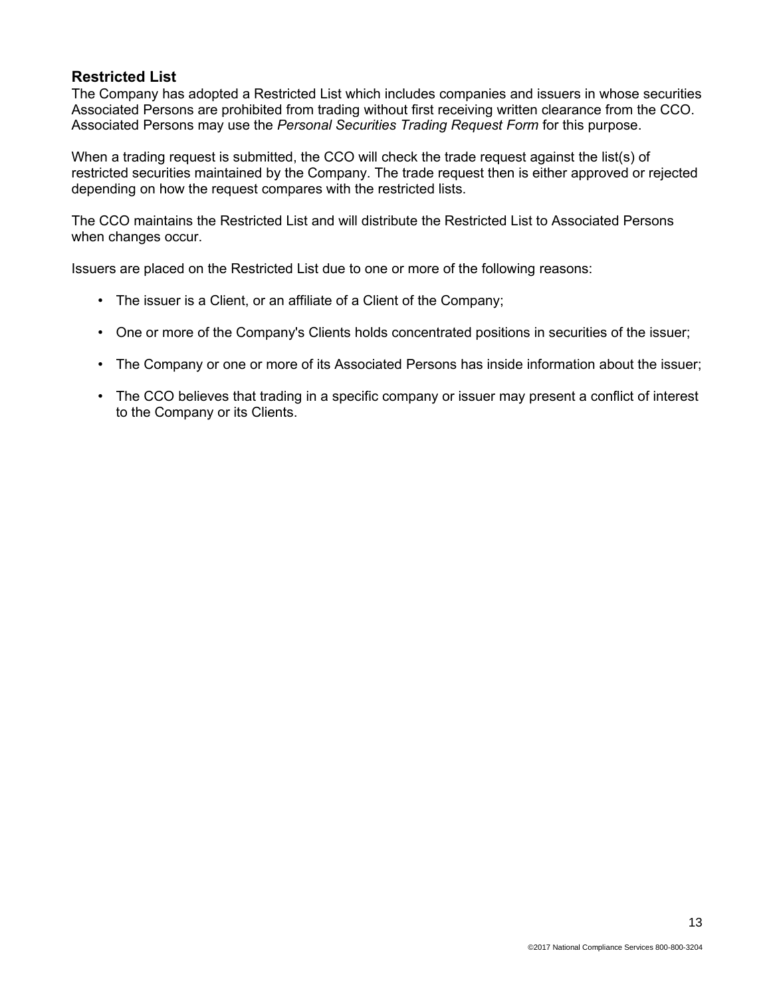## **Restricted List**

The Company has adopted a Restricted List which includes companies and issuers in whose securities Associated Persons are prohibited from trading without first receiving written clearance from the CCO. Associated Persons may use the *Personal Securities Trading Request Form* for this purpose.

When a trading request is submitted, the CCO will check the trade request against the list(s) of restricted securities maintained by the Company. The trade request then is either approved or rejected depending on how the request compares with the restricted lists.

The CCO maintains the Restricted List and will distribute the Restricted List to Associated Persons when changes occur.

Issuers are placed on the Restricted List due to one or more of the following reasons:

- The issuer is a Client, or an affiliate of a Client of the Company;
- One or more of the Company's Clients holds concentrated positions in securities of the issuer;
- The Company or one or more of its Associated Persons has inside information about the issuer;
- The CCO believes that trading in a specific company or issuer may present a conflict of interest to the Company or its Clients.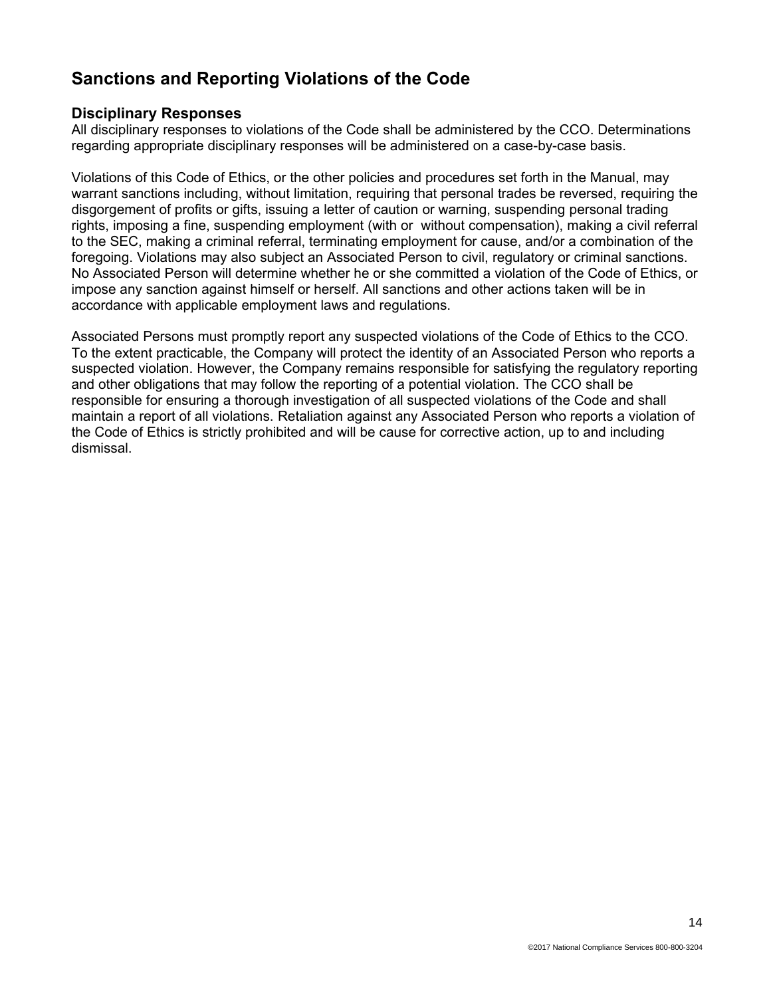## **Sanctions and Reporting Violations of the Code**

### **Disciplinary Responses**

All disciplinary responses to violations of the Code shall be administered by the CCO. Determinations regarding appropriate disciplinary responses will be administered on a case-by-case basis.

Violations of this Code of Ethics, or the other policies and procedures set forth in the Manual, may warrant sanctions including, without limitation, requiring that personal trades be reversed, requiring the disgorgement of profits or gifts, issuing a letter of caution or warning, suspending personal trading rights, imposing a fine, suspending employment (with or without compensation), making a civil referral to the SEC, making a criminal referral, terminating employment for cause, and/or a combination of the foregoing. Violations may also subject an Associated Person to civil, regulatory or criminal sanctions. No Associated Person will determine whether he or she committed a violation of the Code of Ethics, or impose any sanction against himself or herself. All sanctions and other actions taken will be in accordance with applicable employment laws and regulations.

Associated Persons must promptly report any suspected violations of the Code of Ethics to the CCO. To the extent practicable, the Company will protect the identity of an Associated Person who reports a suspected violation. However, the Company remains responsible for satisfying the regulatory reporting and other obligations that may follow the reporting of a potential violation. The CCO shall be responsible for ensuring a thorough investigation of all suspected violations of the Code and shall maintain a report of all violations. Retaliation against any Associated Person who reports a violation of the Code of Ethics is strictly prohibited and will be cause for corrective action, up to and including dismissal.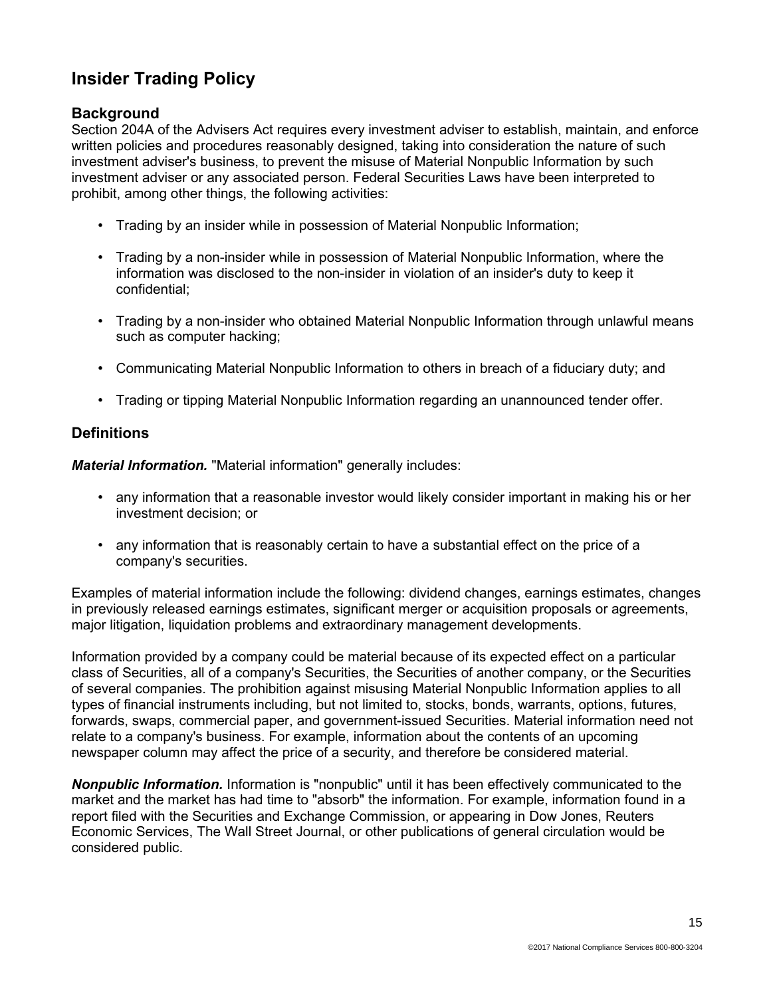## **Insider Trading Policy**

## **Background**

Section 204A of the Advisers Act requires every investment adviser to establish, maintain, and enforce written policies and procedures reasonably designed, taking into consideration the nature of such investment adviser's business, to prevent the misuse of Material Nonpublic Information by such investment adviser or any associated person. Federal Securities Laws have been interpreted to prohibit, among other things, the following activities:

- Trading by an insider while in possession of Material Nonpublic Information;
- Trading by a non-insider while in possession of Material Nonpublic Information, where the information was disclosed to the non-insider in violation of an insider's duty to keep it confidential;
- Trading by a non-insider who obtained Material Nonpublic Information through unlawful means such as computer hacking;
- Communicating Material Nonpublic Information to others in breach of a fiduciary duty; and
- Trading or tipping Material Nonpublic Information regarding an unannounced tender offer.

## **Definitions**

*Material Information.* "Material information" generally includes:

- any information that a reasonable investor would likely consider important in making his or her investment decision; or
- any information that is reasonably certain to have a substantial effect on the price of a company's securities.

Examples of material information include the following: dividend changes, earnings estimates, changes in previously released earnings estimates, significant merger or acquisition proposals or agreements, major litigation, liquidation problems and extraordinary management developments.

Information provided by a company could be material because of its expected effect on a particular class of Securities, all of a company's Securities, the Securities of another company, or the Securities of several companies. The prohibition against misusing Material Nonpublic Information applies to all types of financial instruments including, but not limited to, stocks, bonds, warrants, options, futures, forwards, swaps, commercial paper, and government-issued Securities. Material information need not relate to a company's business. For example, information about the contents of an upcoming newspaper column may affect the price of a security, and therefore be considered material.

*Nonpublic Information.* Information is "nonpublic" until it has been effectively communicated to the market and the market has had time to "absorb" the information. For example, information found in a report filed with the Securities and Exchange Commission, or appearing in Dow Jones, Reuters Economic Services, The Wall Street Journal, or other publications of general circulation would be considered public.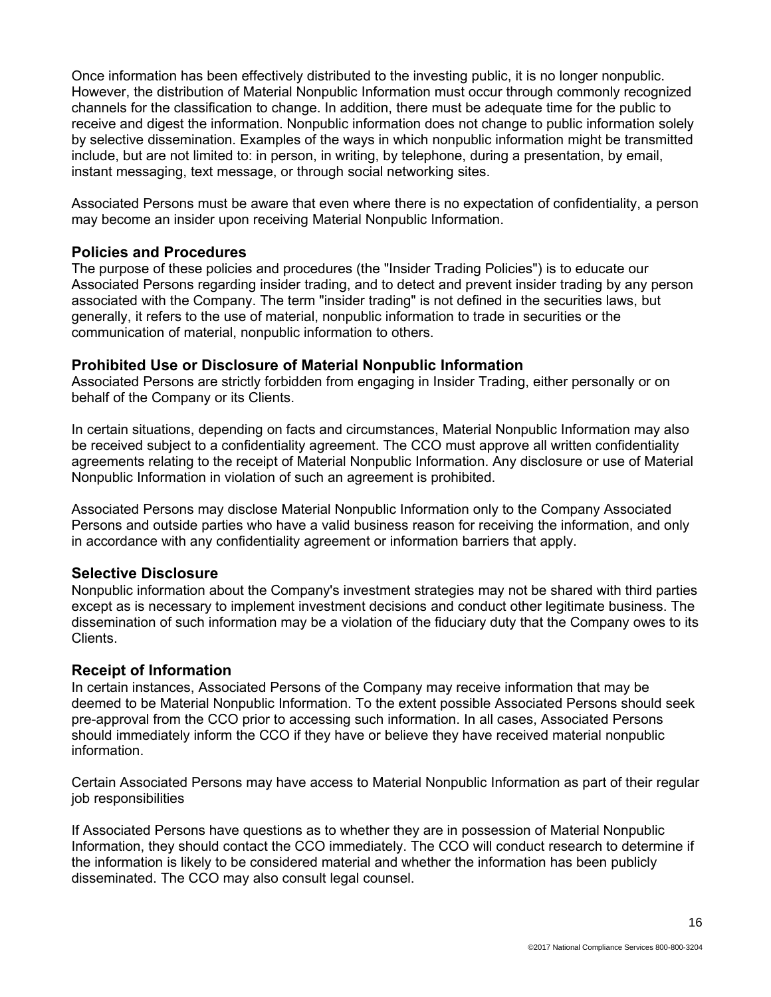Once information has been effectively distributed to the investing public, it is no longer nonpublic. However, the distribution of Material Nonpublic Information must occur through commonly recognized channels for the classification to change. In addition, there must be adequate time for the public to receive and digest the information. Nonpublic information does not change to public information solely by selective dissemination. Examples of the ways in which nonpublic information might be transmitted include, but are not limited to: in person, in writing, by telephone, during a presentation, by email, instant messaging, text message, or through social networking sites.

Associated Persons must be aware that even where there is no expectation of confidentiality, a person may become an insider upon receiving Material Nonpublic Information.

#### **Policies and Procedures**

The purpose of these policies and procedures (the "Insider Trading Policies") is to educate our Associated Persons regarding insider trading, and to detect and prevent insider trading by any person associated with the Company. The term "insider trading" is not defined in the securities laws, but generally, it refers to the use of material, nonpublic information to trade in securities or the communication of material, nonpublic information to others.

#### **Prohibited Use or Disclosure of Material Nonpublic Information**

Associated Persons are strictly forbidden from engaging in Insider Trading, either personally or on behalf of the Company or its Clients.

In certain situations, depending on facts and circumstances, Material Nonpublic Information may also be received subject to a confidentiality agreement. The CCO must approve all written confidentiality agreements relating to the receipt of Material Nonpublic Information. Any disclosure or use of Material Nonpublic Information in violation of such an agreement is prohibited.

Associated Persons may disclose Material Nonpublic Information only to the Company Associated Persons and outside parties who have a valid business reason for receiving the information, and only in accordance with any confidentiality agreement or information barriers that apply.

## **Selective Disclosure**

Nonpublic information about the Company's investment strategies may not be shared with third parties except as is necessary to implement investment decisions and conduct other legitimate business. The dissemination of such information may be a violation of the fiduciary duty that the Company owes to its Clients.

#### **Receipt of Information**

In certain instances, Associated Persons of the Company may receive information that may be deemed to be Material Nonpublic Information. To the extent possible Associated Persons should seek pre-approval from the CCO prior to accessing such information. In all cases, Associated Persons should immediately inform the CCO if they have or believe they have received material nonpublic information.

Certain Associated Persons may have access to Material Nonpublic Information as part of their regular job responsibilities

If Associated Persons have questions as to whether they are in possession of Material Nonpublic Information, they should contact the CCO immediately. The CCO will conduct research to determine if the information is likely to be considered material and whether the information has been publicly disseminated. The CCO may also consult legal counsel.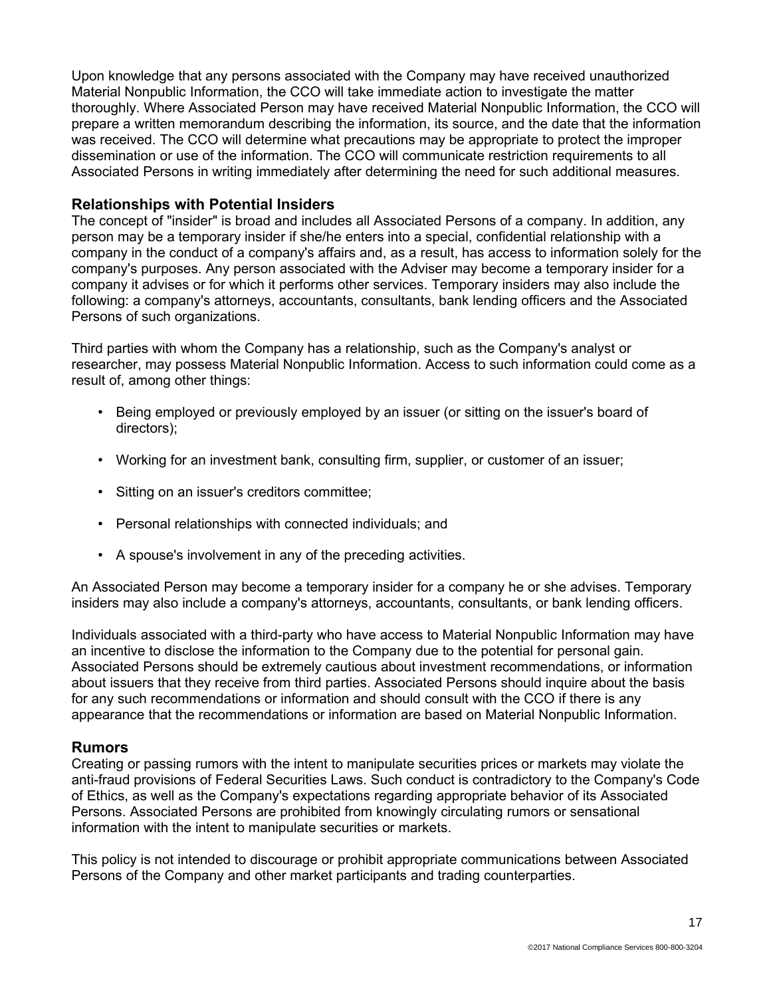Upon knowledge that any persons associated with the Company may have received unauthorized Material Nonpublic Information, the CCO will take immediate action to investigate the matter thoroughly. Where Associated Person may have received Material Nonpublic Information, the CCO will prepare a written memorandum describing the information, its source, and the date that the information was received. The CCO will determine what precautions may be appropriate to protect the improper dissemination or use of the information. The CCO will communicate restriction requirements to all Associated Persons in writing immediately after determining the need for such additional measures.

#### **Relationships with Potential Insiders**

The concept of "insider" is broad and includes all Associated Persons of a company. In addition, any person may be a temporary insider if she/he enters into a special, confidential relationship with a company in the conduct of a company's affairs and, as a result, has access to information solely for the company's purposes. Any person associated with the Adviser may become a temporary insider for a company it advises or for which it performs other services. Temporary insiders may also include the following: a company's attorneys, accountants, consultants, bank lending officers and the Associated Persons of such organizations.

Third parties with whom the Company has a relationship, such as the Company's analyst or researcher, may possess Material Nonpublic Information. Access to such information could come as a result of, among other things:

- Being employed or previously employed by an issuer (or sitting on the issuer's board of directors);
- Working for an investment bank, consulting firm, supplier, or customer of an issuer;
- Sitting on an issuer's creditors committee;
- Personal relationships with connected individuals; and
- A spouse's involvement in any of the preceding activities.

An Associated Person may become a temporary insider for a company he or she advises. Temporary insiders may also include a company's attorneys, accountants, consultants, or bank lending officers.

Individuals associated with a third-party who have access to Material Nonpublic Information may have an incentive to disclose the information to the Company due to the potential for personal gain. Associated Persons should be extremely cautious about investment recommendations, or information about issuers that they receive from third parties. Associated Persons should inquire about the basis for any such recommendations or information and should consult with the CCO if there is any appearance that the recommendations or information are based on Material Nonpublic Information.

#### **Rumors**

Creating or passing rumors with the intent to manipulate securities prices or markets may violate the anti-fraud provisions of Federal Securities Laws. Such conduct is contradictory to the Company's Code of Ethics, as well as the Company's expectations regarding appropriate behavior of its Associated Persons. Associated Persons are prohibited from knowingly circulating rumors or sensational information with the intent to manipulate securities or markets.

This policy is not intended to discourage or prohibit appropriate communications between Associated Persons of the Company and other market participants and trading counterparties.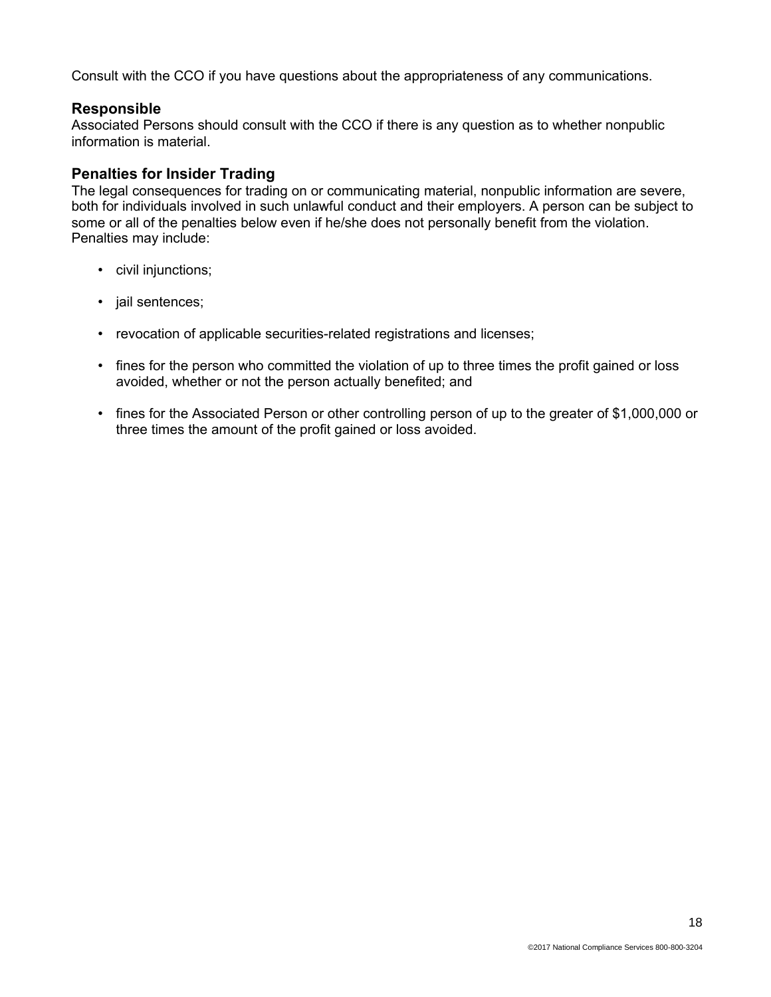Consult with the CCO if you have questions about the appropriateness of any communications.

## **Responsible**

Associated Persons should consult with the CCO if there is any question as to whether nonpublic information is material.

## **Penalties for Insider Trading**

The legal consequences for trading on or communicating material, nonpublic information are severe, both for individuals involved in such unlawful conduct and their employers. A person can be subject to some or all of the penalties below even if he/she does not personally benefit from the violation. Penalties may include:

- civil injunctions;
- jail sentences;
- revocation of applicable securities-related registrations and licenses;
- fines for the person who committed the violation of up to three times the profit gained or loss avoided, whether or not the person actually benefited; and
- fines for the Associated Person or other controlling person of up to the greater of \$1,000,000 or three times the amount of the profit gained or loss avoided.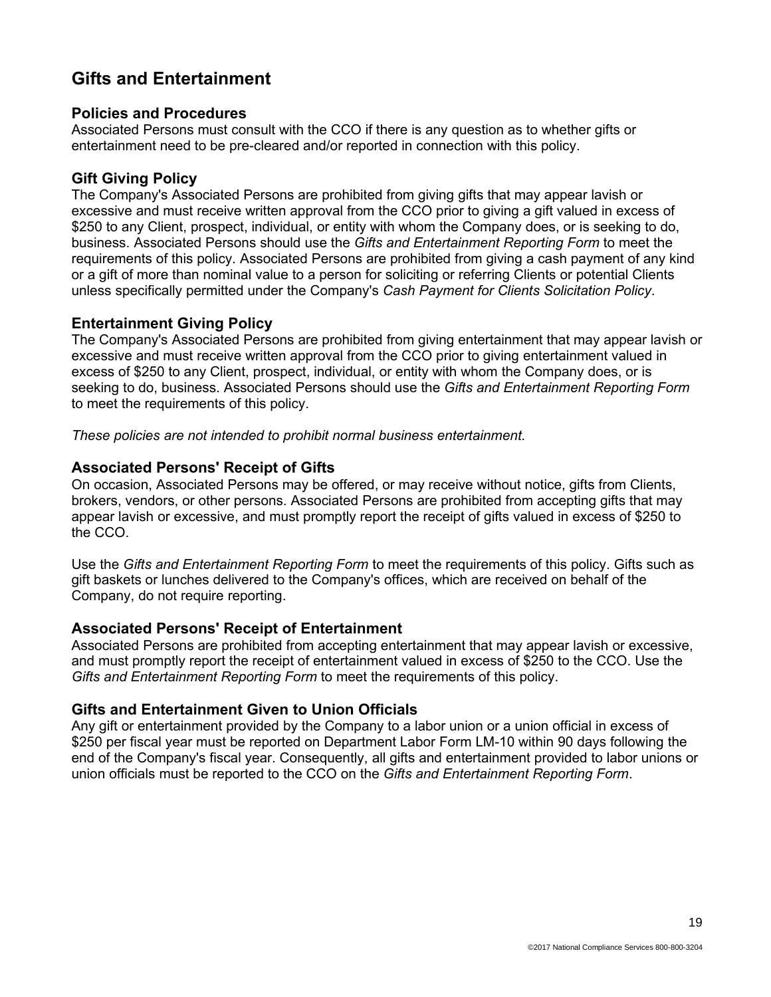## **Gifts and Entertainment**

### **Policies and Procedures**

Associated Persons must consult with the CCO if there is any question as to whether gifts or entertainment need to be pre-cleared and/or reported in connection with this policy.

## **Gift Giving Policy**

The Company's Associated Persons are prohibited from giving gifts that may appear lavish or excessive and must receive written approval from the CCO prior to giving a gift valued in excess of \$250 to any Client, prospect, individual, or entity with whom the Company does, or is seeking to do, business. Associated Persons should use the *Gifts and Entertainment Reporting Form* to meet the requirements of this policy*.* Associated Persons are prohibited from giving a cash payment of any kind or a gift of more than nominal value to a person for soliciting or referring Clients or potential Clients unless specifically permitted under the Company's *Cash Payment for Clients Solicitation Policy*.

## **Entertainment Giving Policy**

The Company's Associated Persons are prohibited from giving entertainment that may appear lavish or excessive and must receive written approval from the CCO prior to giving entertainment valued in excess of \$250 to any Client, prospect, individual, or entity with whom the Company does, or is seeking to do, business. Associated Persons should use the *Gifts and Entertainment Reporting Form*  to meet the requirements of this policy.

*These policies are not intended to prohibit normal business entertainment.*

### **Associated Persons' Receipt of Gifts**

On occasion, Associated Persons may be offered, or may receive without notice, gifts from Clients, brokers, vendors, or other persons. Associated Persons are prohibited from accepting gifts that may appear lavish or excessive, and must promptly report the receipt of gifts valued in excess of \$250 to the CCO.

Use the *Gifts and Entertainment Reporting Form* to meet the requirements of this policy. Gifts such as gift baskets or lunches delivered to the Company's offices, which are received on behalf of the Company, do not require reporting.

#### **Associated Persons' Receipt of Entertainment**

Associated Persons are prohibited from accepting entertainment that may appear lavish or excessive, and must promptly report the receipt of entertainment valued in excess of \$250 to the CCO. Use the *Gifts and Entertainment Reporting Form* to meet the requirements of this policy.

## **Gifts and Entertainment Given to Union Officials**

Any gift or entertainment provided by the Company to a labor union or a union official in excess of \$250 per fiscal year must be reported on Department Labor Form LM-10 within 90 days following the end of the Company's fiscal year. Consequently, all gifts and entertainment provided to labor unions or union officials must be reported to the CCO on the *Gifts and Entertainment Reporting Form*.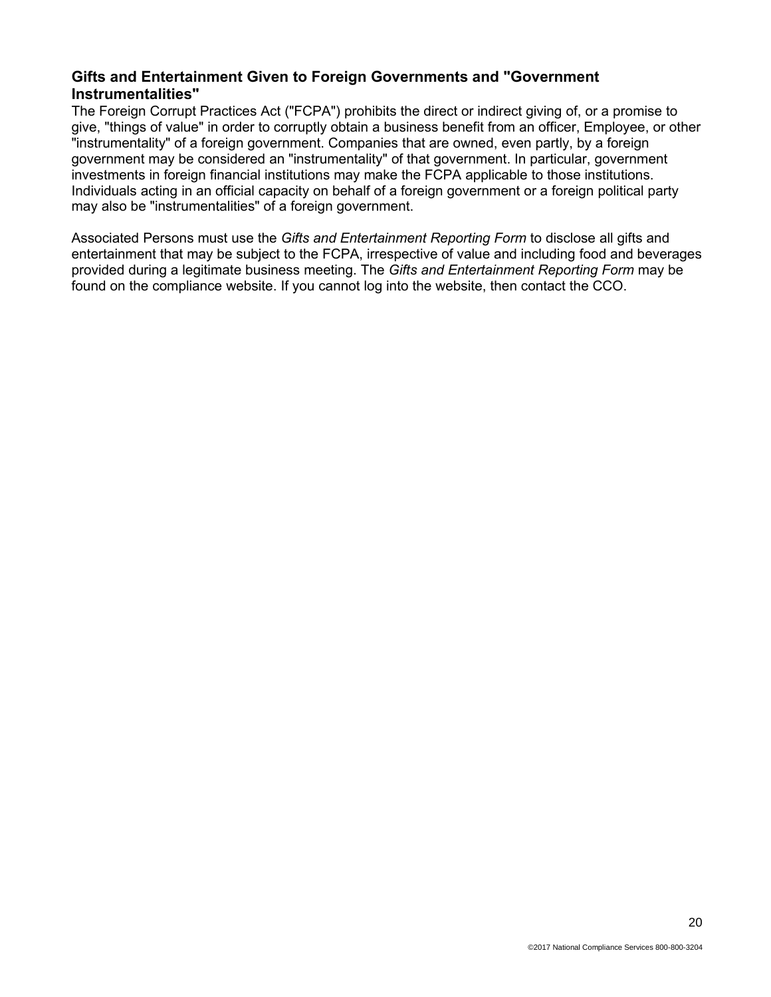## **Gifts and Entertainment Given to Foreign Governments and "Government Instrumentalities"**

The Foreign Corrupt Practices Act ("FCPA") prohibits the direct or indirect giving of, or a promise to give, "things of value" in order to corruptly obtain a business benefit from an officer, Employee, or other "instrumentality" of a foreign government. Companies that are owned, even partly, by a foreign government may be considered an "instrumentality" of that government. In particular, government investments in foreign financial institutions may make the FCPA applicable to those institutions. Individuals acting in an official capacity on behalf of a foreign government or a foreign political party may also be "instrumentalities" of a foreign government.

Associated Persons must use the *Gifts and Entertainment Reporting Form* to disclose all gifts and entertainment that may be subject to the FCPA, irrespective of value and including food and beverages provided during a legitimate business meeting. The *Gifts and Entertainment Reporting Form* may be found on the compliance website. If you cannot log into the website, then contact the CCO.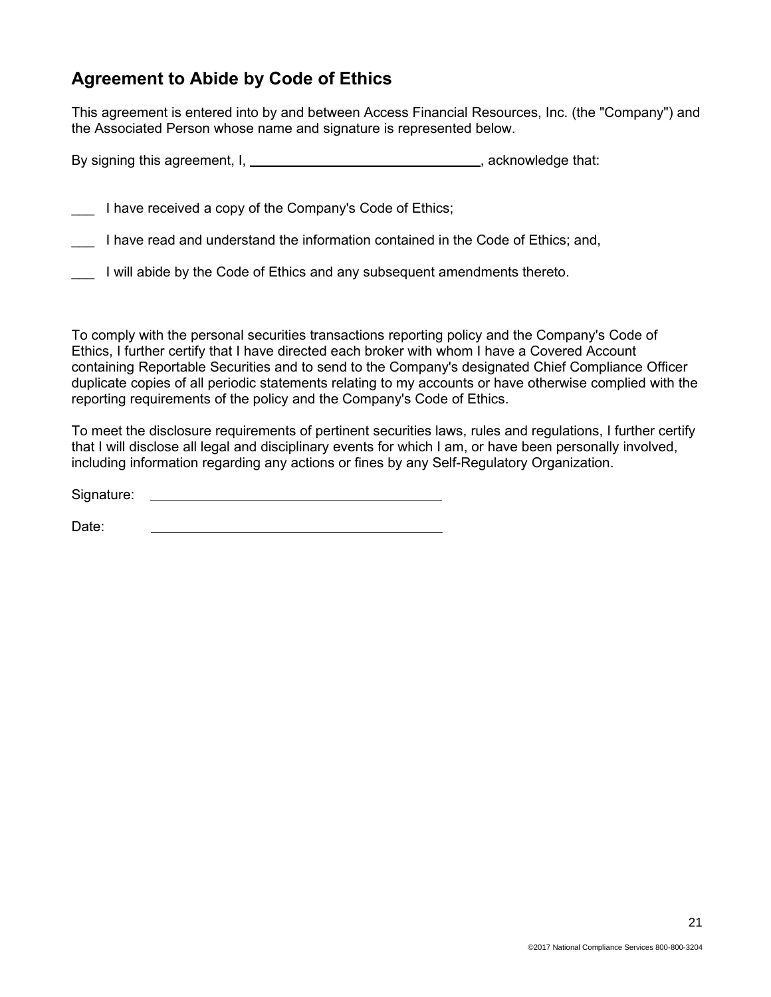## **Agreement to Abide by Code of Ethics**

This agreement is entered into by and between Access Financial Resources, Inc. (the "Company") and the Associated Person whose name and signature is represented below.

By signing this agreement,  $I_1$  , acknowledge that:

I have received a copy of the Company's Code of Ethics;

I have read and understand the information contained in the Code of Ethics; and,

I will abide by the Code of Ethics and any subsequent amendments thereto.

To comply with the personal securities transactions reporting policy and the Company's Code of Ethics, I further certify that I have directed each broker with whom I have a Covered Account containing Reportable Securities and to send to the Company's designated Chief Compliance Officer duplicate copies of all periodic statements relating to my accounts or have otherwise complied with the reporting requirements of the policy and the Company's Code of Ethics.

To meet the disclosure requirements of pertinent securities laws, rules and regulations, I further certify that I will disclose all legal and disciplinary events for which I am, or have been personally involved, including information regarding any actions or fines by any Self-Regulatory Organization.

Signature:

Date: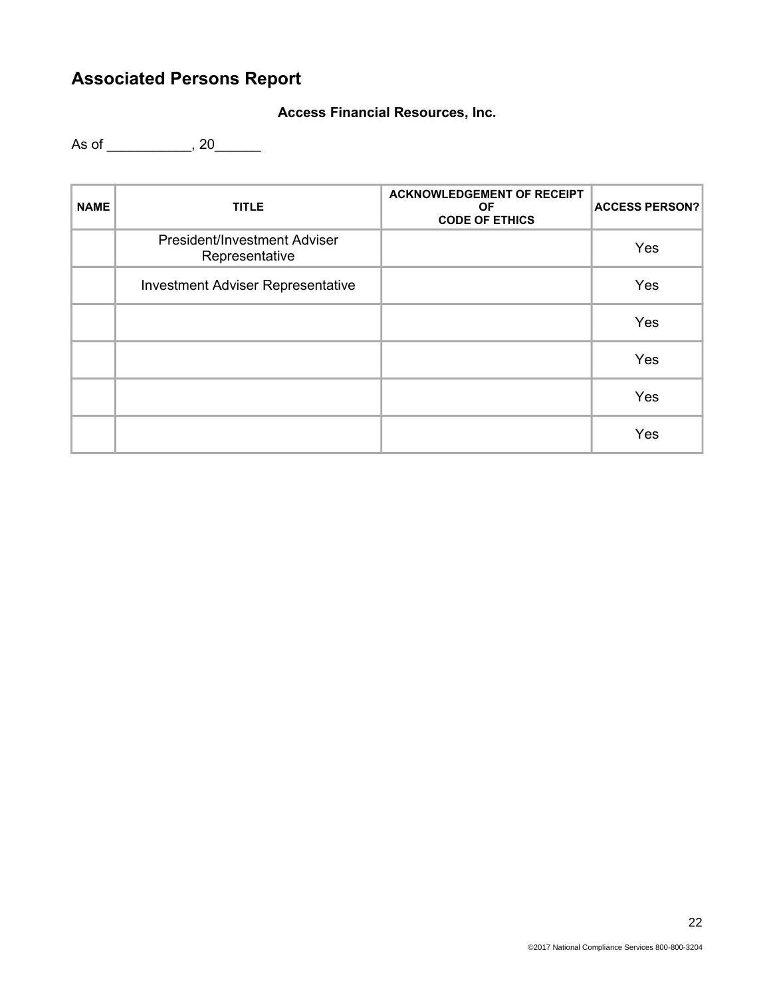# **Associated Persons Report**

## **Access Financial Resources, Inc.**

As of \_\_\_\_\_\_\_\_\_\_\_, 20\_\_\_\_\_\_\_

| <b>NAME</b> | <b>TITLE</b>                                          | <b>ACKNOWLEDGEMENT OF RECEIPT</b><br>OF.<br><b>CODE OF ETHICS</b> | <b>ACCESS PERSON?</b> |
|-------------|-------------------------------------------------------|-------------------------------------------------------------------|-----------------------|
|             | <b>President/Investment Adviser</b><br>Representative |                                                                   | Yes                   |
|             | <b>Investment Adviser Representative</b>              |                                                                   | Yes                   |
|             |                                                       |                                                                   | Yes                   |
|             |                                                       |                                                                   | Yes                   |
|             |                                                       |                                                                   | Yes                   |
|             |                                                       |                                                                   | Yes                   |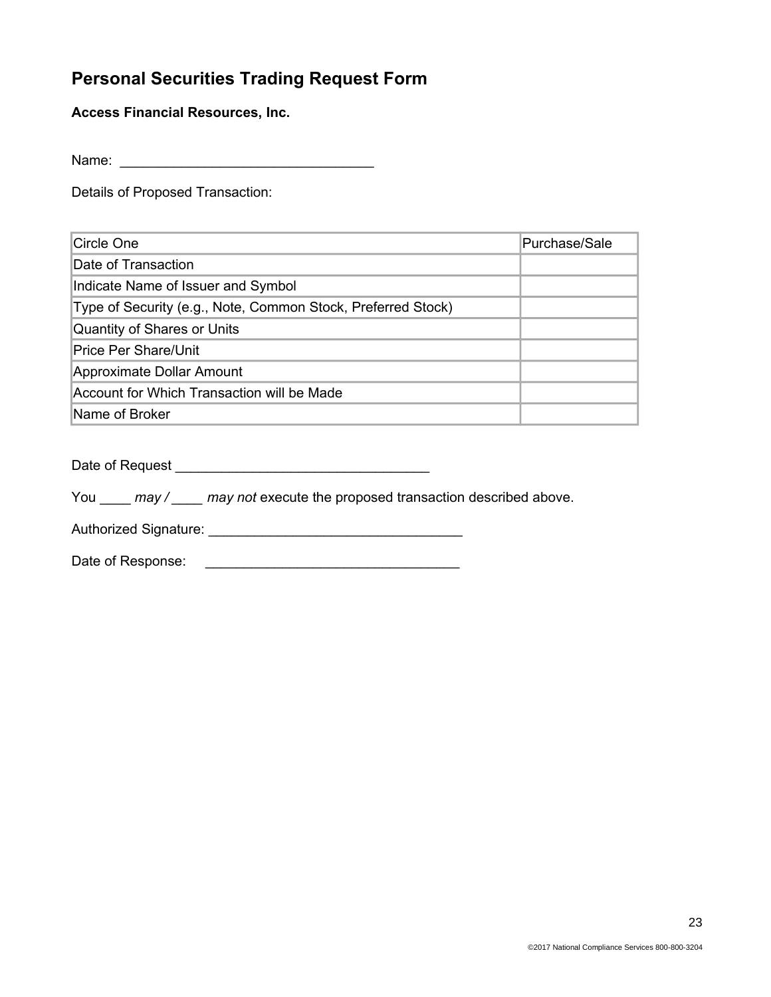## **Personal Securities Trading Request Form**

**Access Financial Resources, Inc.**

Name: \_\_\_\_\_\_\_\_\_\_\_\_\_\_\_\_\_\_\_\_\_\_\_\_\_\_\_\_\_\_\_\_\_

Details of Proposed Transaction:

| lCircle One                                                  | Purchase/Sale |
|--------------------------------------------------------------|---------------|
| Date of Transaction                                          |               |
| Indicate Name of Issuer and Symbol                           |               |
| Type of Security (e.g., Note, Common Stock, Preferred Stock) |               |
| Quantity of Shares or Units                                  |               |
| <b>Price Per Share/Unit</b>                                  |               |
| Approximate Dollar Amount                                    |               |
| Account for Which Transaction will be Made                   |               |
| <b>Name of Broker</b>                                        |               |

Date of Request \_\_\_\_\_\_\_\_\_\_\_\_\_\_\_\_\_\_\_\_\_\_\_\_\_\_\_\_\_\_\_\_\_

You \_\_\_\_ *may / \_\_\_\_ may not* execute the proposed transaction described above.

Authorized Signature: \_\_\_\_\_\_\_\_\_\_\_\_\_\_\_\_\_\_\_\_\_\_\_\_\_\_\_\_\_\_\_\_\_

Date of Response: \_\_\_\_\_\_\_\_\_\_\_\_\_\_\_\_\_\_\_\_\_\_\_\_\_\_\_\_\_\_\_\_\_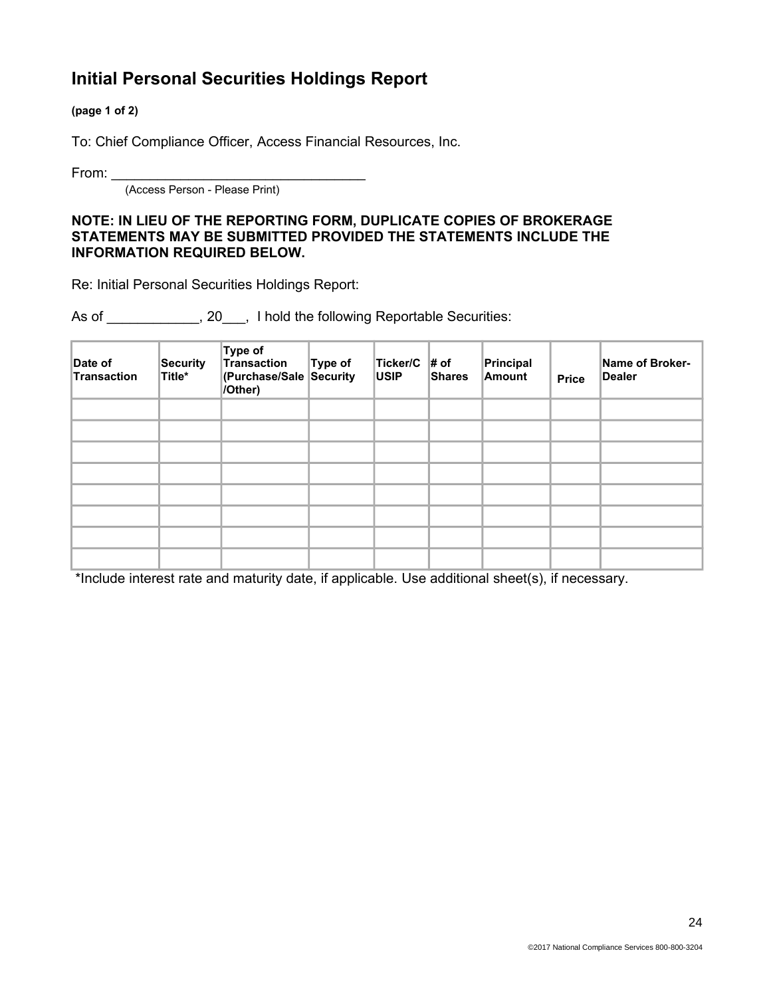## **Initial Personal Securities Holdings Report**

**(page 1 of 2)**

To: Chief Compliance Officer, Access Financial Resources, Inc.

From: \_\_\_\_\_\_\_\_\_\_\_\_\_\_\_\_\_\_\_\_\_\_\_\_\_\_\_\_\_\_\_\_\_

(Access Person - Please Print)

#### **NOTE: IN LIEU OF THE REPORTING FORM, DUPLICATE COPIES OF BROKERAGE STATEMENTS MAY BE SUBMITTED PROVIDED THE STATEMENTS INCLUDE THE INFORMATION REQUIRED BELOW.**

Re: Initial Personal Securities Holdings Report:

As of \_\_\_\_\_\_\_\_\_\_, 20\_\_\_, I hold the following Reportable Securities:

| Date of<br>Transaction | <b>Security</b><br>Title* | Type of<br>Transaction<br>(Purchase/Sale Security<br>/Other) | Type of | Ticker/C $\#$ of<br><b>USIP</b> | <b>Shares</b> | Principal<br>Amount | <b>Price</b> | Name of Broker-<br>Dealer |
|------------------------|---------------------------|--------------------------------------------------------------|---------|---------------------------------|---------------|---------------------|--------------|---------------------------|
|                        |                           |                                                              |         |                                 |               |                     |              |                           |
|                        |                           |                                                              |         |                                 |               |                     |              |                           |
|                        |                           |                                                              |         |                                 |               |                     |              |                           |
|                        |                           |                                                              |         |                                 |               |                     |              |                           |
|                        |                           |                                                              |         |                                 |               |                     |              |                           |
|                        |                           |                                                              |         |                                 |               |                     |              |                           |
|                        |                           |                                                              |         |                                 |               |                     |              |                           |
|                        |                           |                                                              |         |                                 |               |                     |              |                           |

\*Include interest rate and maturity date, if applicable. Use additional sheet(s), if necessary.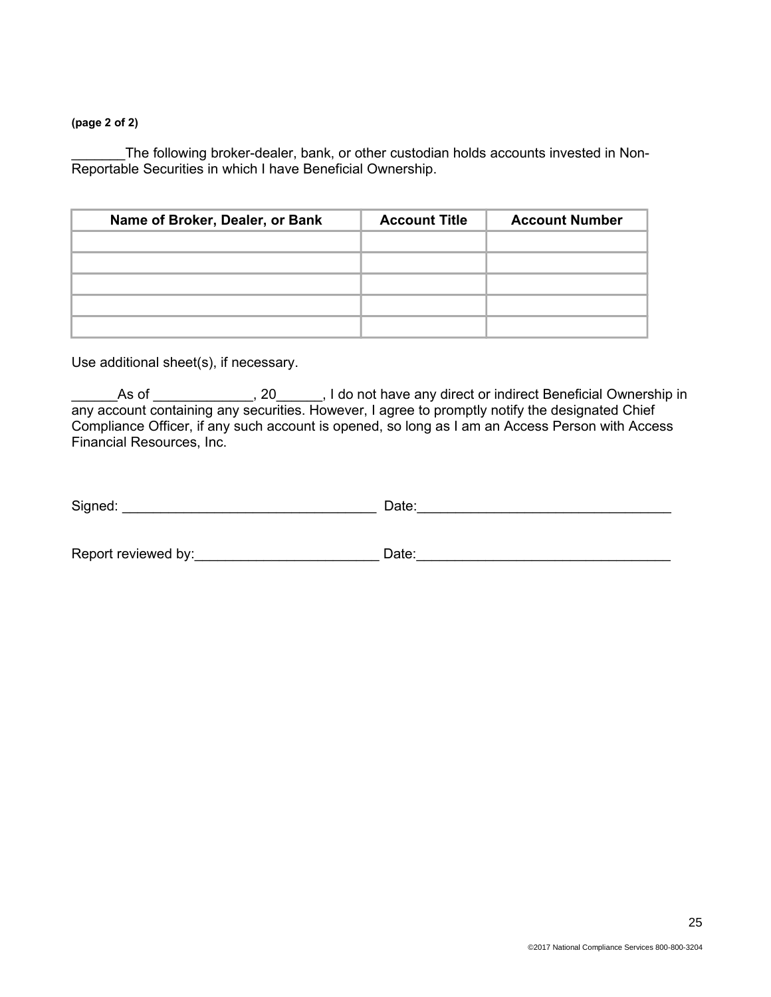#### **(page 2 of 2)**

The following broker-dealer, bank, or other custodian holds accounts invested in Non-Reportable Securities in which I have Beneficial Ownership.

| Name of Broker, Dealer, or Bank | <b>Account Title</b> | <b>Account Number</b> |
|---------------------------------|----------------------|-----------------------|
|                                 |                      |                       |
|                                 |                      |                       |
|                                 |                      |                       |
|                                 |                      |                       |
|                                 |                      |                       |

Use additional sheet(s), if necessary.

As of \_\_\_\_\_\_\_\_\_\_, 20\_\_\_\_\_, I do not have any direct or indirect Beneficial Ownership in any account containing any securities. However, I agree to promptly notify the designated Chief Compliance Officer, if any such account is opened, so long as I am an Access Person with Access Financial Resources, Inc.

| Signed: | ר ∩ate: |
|---------|---------|
|         |         |

Report reviewed by:\_\_\_\_\_\_\_\_\_\_\_\_\_\_\_\_\_\_\_\_\_\_\_\_ Date:\_\_\_\_\_\_\_\_\_\_\_\_\_\_\_\_\_\_\_\_\_\_\_\_\_\_\_\_\_\_\_\_\_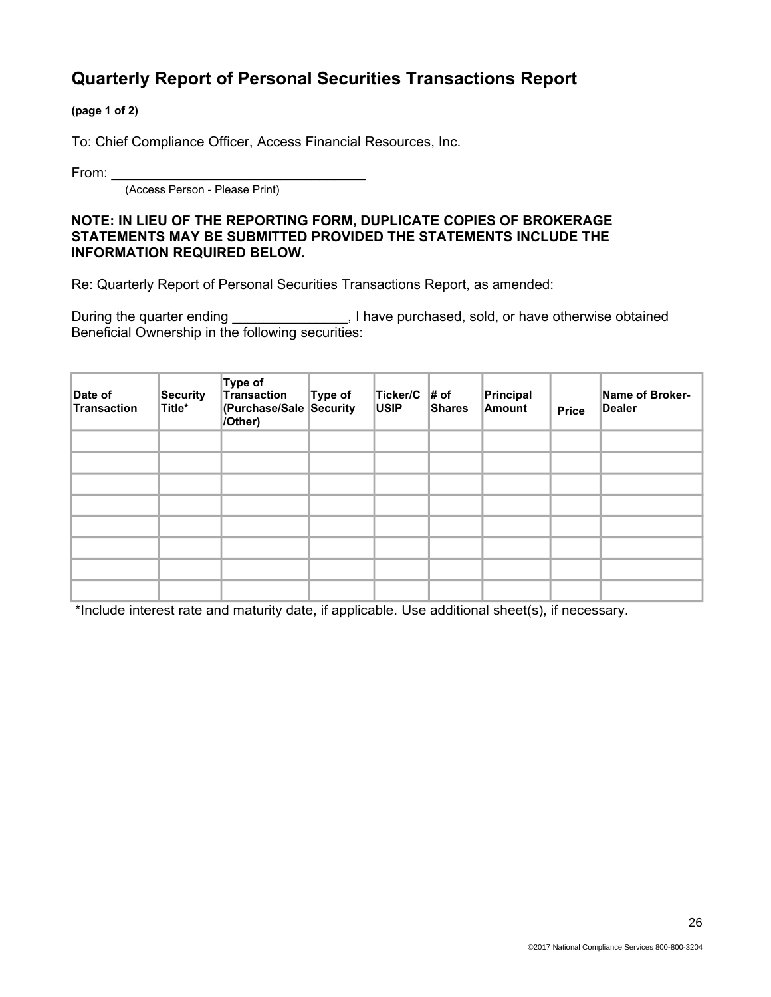## **Quarterly Report of Personal Securities Transactions Report**

**(page 1 of 2)**

To: Chief Compliance Officer, Access Financial Resources, Inc.

From:  $\_$ 

(Access Person - Please Print)

#### **NOTE: IN LIEU OF THE REPORTING FORM, DUPLICATE COPIES OF BROKERAGE STATEMENTS MAY BE SUBMITTED PROVIDED THE STATEMENTS INCLUDE THE INFORMATION REQUIRED BELOW.**

Re: Quarterly Report of Personal Securities Transactions Report, as amended:

During the quarter ending entirely noticely purchased, sold, or have otherwise obtained Beneficial Ownership in the following securities:

| Date of<br>Transaction | <b>Security</b><br>Title* | Type of<br>Transaction<br><b>(Purchase/Sale Security</b><br>/Other) | Type of | Ticker/C $\#$ of<br><b>USIP</b> | Shares | Principal<br>Amount | <b>Price</b> | Name of Broker-<br>Dealer |
|------------------------|---------------------------|---------------------------------------------------------------------|---------|---------------------------------|--------|---------------------|--------------|---------------------------|
|                        |                           |                                                                     |         |                                 |        |                     |              |                           |
|                        |                           |                                                                     |         |                                 |        |                     |              |                           |
|                        |                           |                                                                     |         |                                 |        |                     |              |                           |
|                        |                           |                                                                     |         |                                 |        |                     |              |                           |
|                        |                           |                                                                     |         |                                 |        |                     |              |                           |
|                        |                           |                                                                     |         |                                 |        |                     |              |                           |
|                        |                           |                                                                     |         |                                 |        |                     |              |                           |
|                        |                           |                                                                     |         |                                 |        |                     |              |                           |

\*Include interest rate and maturity date, if applicable. Use additional sheet(s), if necessary.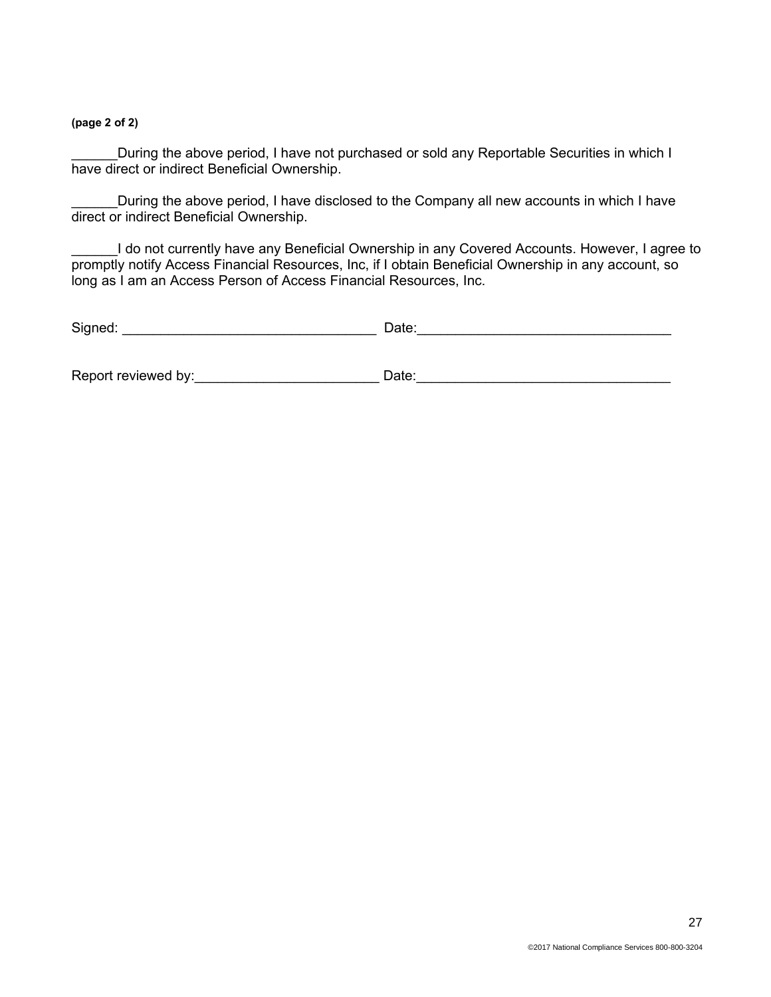**(page 2 of 2)**

During the above period, I have not purchased or sold any Reportable Securities in which I have direct or indirect Beneficial Ownership.

During the above period, I have disclosed to the Company all new accounts in which I have direct or indirect Beneficial Ownership.

I do not currently have any Beneficial Ownership in any Covered Accounts. However, I agree to promptly notify Access Financial Resources, Inc, if I obtain Beneficial Ownership in any account, so long as I am an Access Person of Access Financial Resources, Inc.

| Signed:             | Date: |
|---------------------|-------|
|                     |       |
| Report reviewed by: | Date: |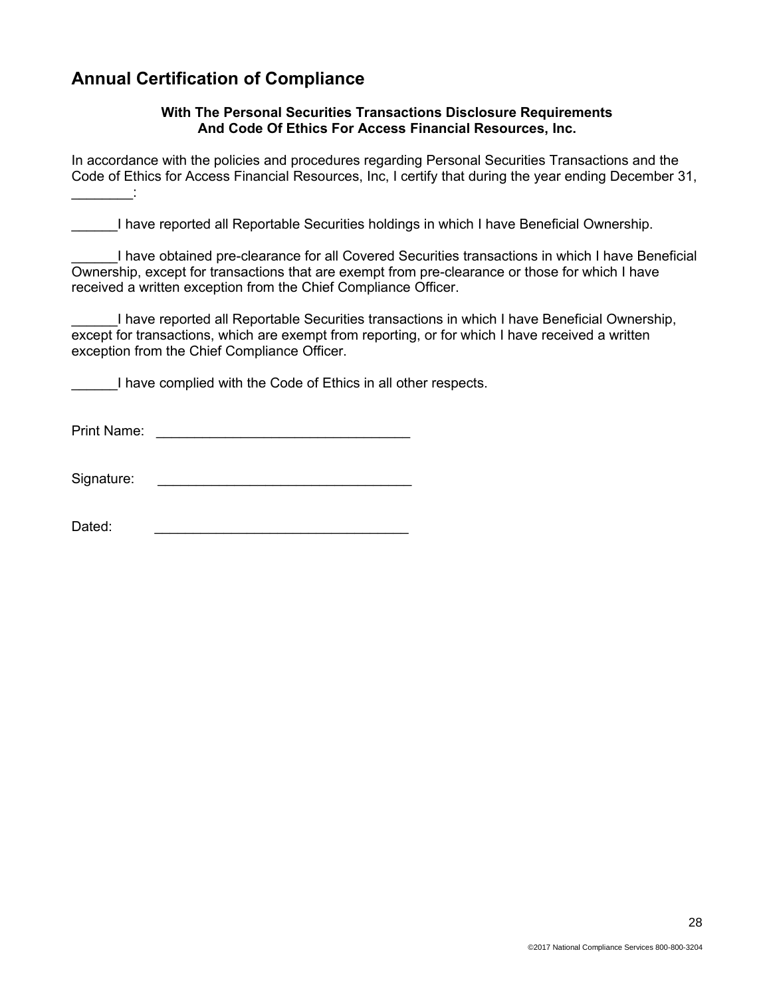## **Annual Certification of Compliance**

#### **With The Personal Securities Transactions Disclosure Requirements And Code Of Ethics For Access Financial Resources, Inc.**

In accordance with the policies and procedures regarding Personal Securities Transactions and the Code of Ethics for Access Financial Resources, Inc, I certify that during the year ending December 31,  $\frac{1}{2}$  ,  $\frac{1}{2}$  ,  $\frac{1}{2}$  ,  $\frac{1}{2}$ 

\_\_\_\_\_\_I have reported all Reportable Securities holdings in which I have Beneficial Ownership.

\_\_\_\_\_\_I have obtained pre-clearance for all Covered Securities transactions in which I have Beneficial Ownership, except for transactions that are exempt from pre-clearance or those for which I have received a written exception from the Chief Compliance Officer.

\_\_\_\_\_\_I have reported all Reportable Securities transactions in which I have Beneficial Ownership, except for transactions, which are exempt from reporting, or for which I have received a written exception from the Chief Compliance Officer.

I have complied with the Code of Ethics in all other respects.

Print Name: \_\_\_\_\_\_\_\_\_\_\_\_\_\_\_\_\_\_\_\_\_\_\_\_\_\_\_\_\_\_\_\_\_

Signature:

Dated: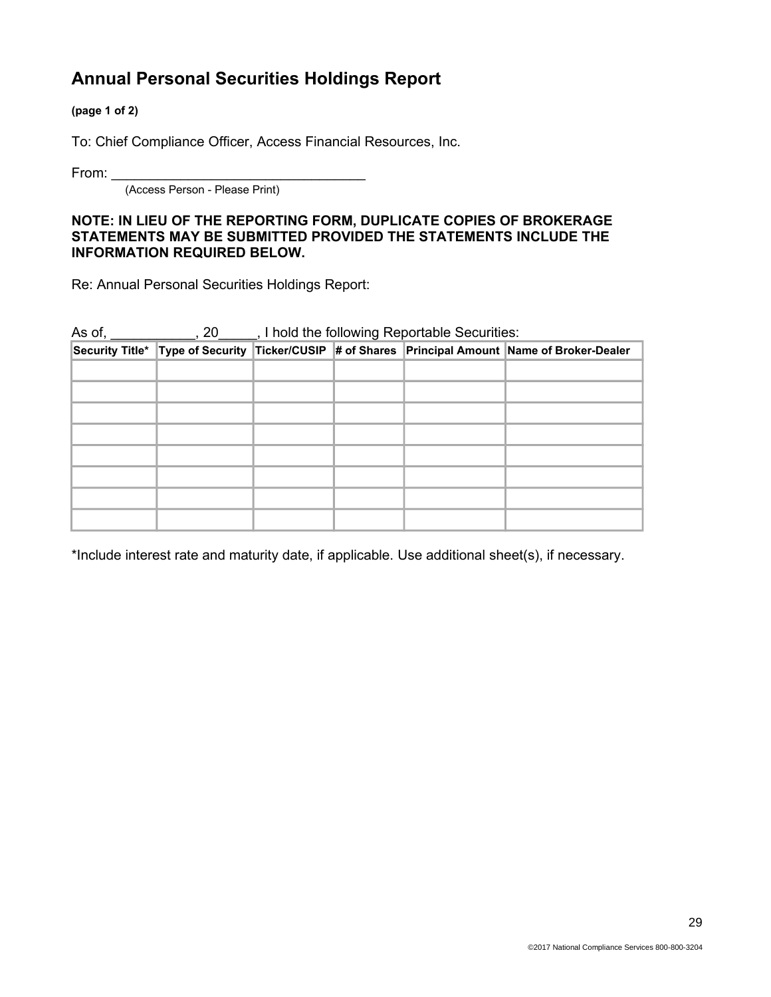## **Annual Personal Securities Holdings Report**

**(page 1 of 2)**

To: Chief Compliance Officer, Access Financial Resources, Inc.

From:  $\_$ 

(Access Person - Please Print)

#### **NOTE: IN LIEU OF THE REPORTING FORM, DUPLICATE COPIES OF BROKERAGE STATEMENTS MAY BE SUBMITTED PROVIDED THE STATEMENTS INCLUDE THE INFORMATION REQUIRED BELOW.**

Re: Annual Personal Securities Holdings Report:

|  | As of, ____________, 20_____, I hold the following Reportable Securities: |  |  |                                                                                                  |
|--|---------------------------------------------------------------------------|--|--|--------------------------------------------------------------------------------------------------|
|  |                                                                           |  |  | Security Title* Type of Security Ticker/CUSIP # of Shares Principal Amount Name of Broker-Dealer |
|  |                                                                           |  |  |                                                                                                  |
|  |                                                                           |  |  |                                                                                                  |
|  |                                                                           |  |  |                                                                                                  |
|  |                                                                           |  |  |                                                                                                  |
|  |                                                                           |  |  |                                                                                                  |
|  |                                                                           |  |  |                                                                                                  |
|  |                                                                           |  |  |                                                                                                  |
|  |                                                                           |  |  |                                                                                                  |

\*Include interest rate and maturity date, if applicable. Use additional sheet(s), if necessary.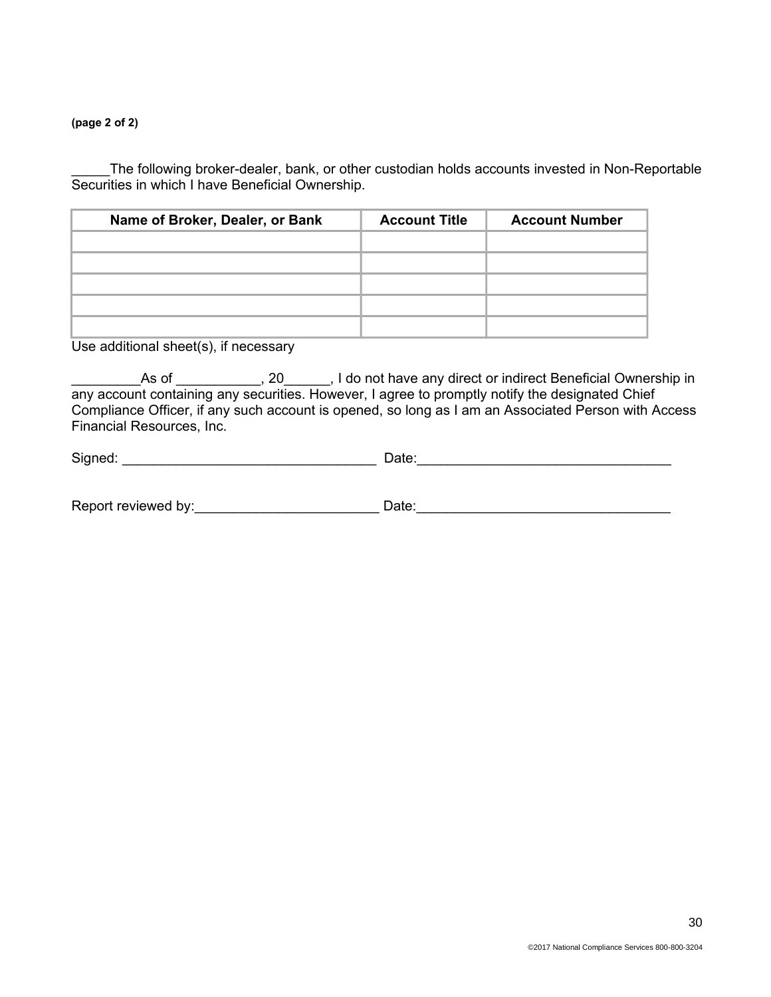#### **(page 2 of 2)**

\_\_\_\_\_The following broker-dealer, bank, or other custodian holds accounts invested in Non-Reportable Securities in which I have Beneficial Ownership.

| Name of Broker, Dealer, or Bank | <b>Account Title</b> | <b>Account Number</b> |
|---------------------------------|----------------------|-----------------------|
|                                 |                      |                       |
|                                 |                      |                       |
|                                 |                      |                       |
|                                 |                      |                       |
|                                 |                      |                       |

Use additional sheet(s), if necessary

As of \_\_\_\_\_\_\_, 20\_\_\_\_, I do not have any direct or indirect Beneficial Ownership in any account containing any securities. However, I agree to promptly notify the designated Chief Compliance Officer, if any such account is opened, so long as I am an Associated Person with Access Financial Resources, Inc.

| Signed: | )ate: |  |
|---------|-------|--|
|         |       |  |

| Report reviewed by: | ⊃ate: |
|---------------------|-------|
|---------------------|-------|